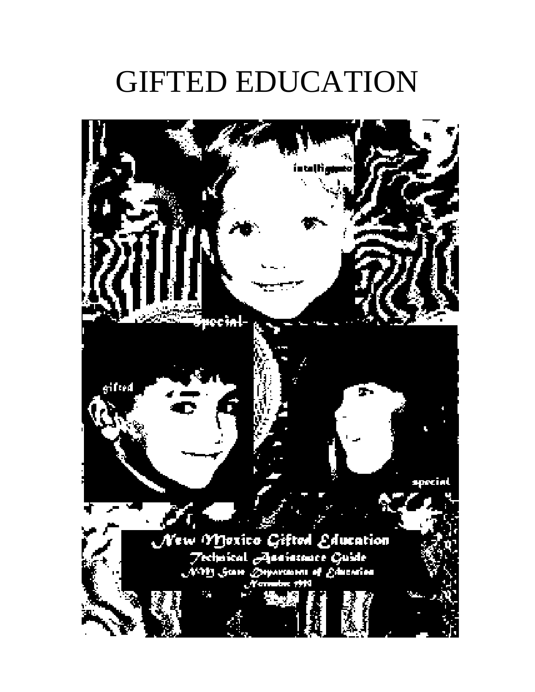# GIFTED EDUCATION

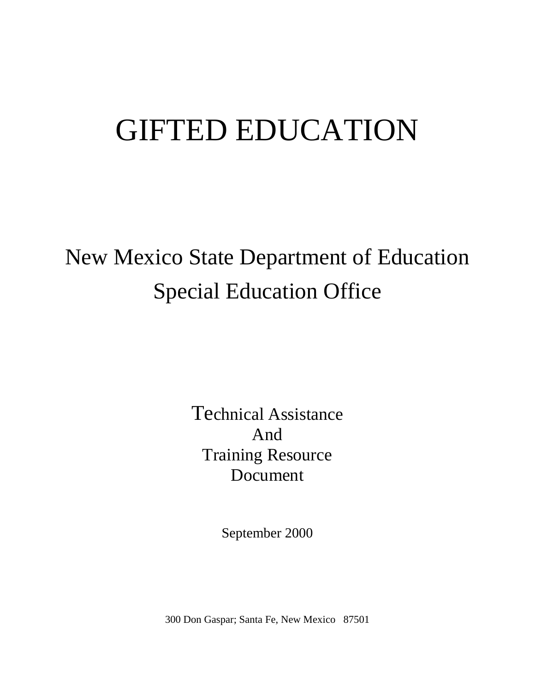# GIFTED EDUCATION

# New Mexico State Department of Education Special Education Office

Technical Assistance And Training Resource Document

September 2000

300 Don Gaspar; Santa Fe, New Mexico 87501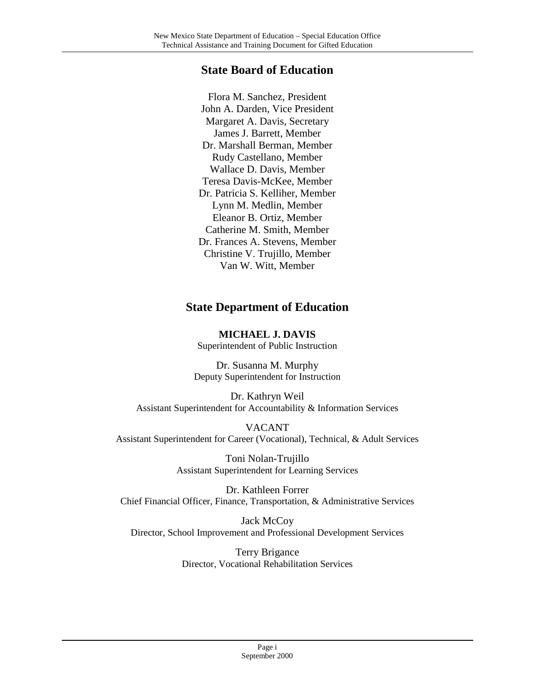#### **State Board of Education**

Flora M. Sanchez, President John A. Darden, Vice President Margaret A. Davis, Secretary James J. Barrett, Member Dr. Marshall Berman, Member Rudy Castellano, Member Wallace D. Davis, Member Teresa Davis-McKee, Member Dr. Patricia S. Kelliher, Member Lynn M. Medlin, Member Eleanor B. Ortiz, Member Catherine M. Smith, Member Dr. Frances A. Stevens, Member Christine V. Trujillo, Member Van W. Witt, Member

#### **State Department of Education**

**MICHAEL J. DAVIS** Superintendent of Public Instruction

Dr. Susanna M. Murphy Deputy Superintendent for Instruction

Dr. Kathryn Weil Assistant Superintendent for Accountability & Information Services

VACANT Assistant Superintendent for Career (Vocational), Technical, & Adult Services

> Toni Nolan-Trujillo Assistant Superintendent for Learning Services

Dr. Kathleen Forrer Chief Financial Officer, Finance, Transportation, & Administrative Services

Jack McCoy Director, School Improvement and Professional Development Services

> Terry Brigance Director, Vocational Rehabilitation Services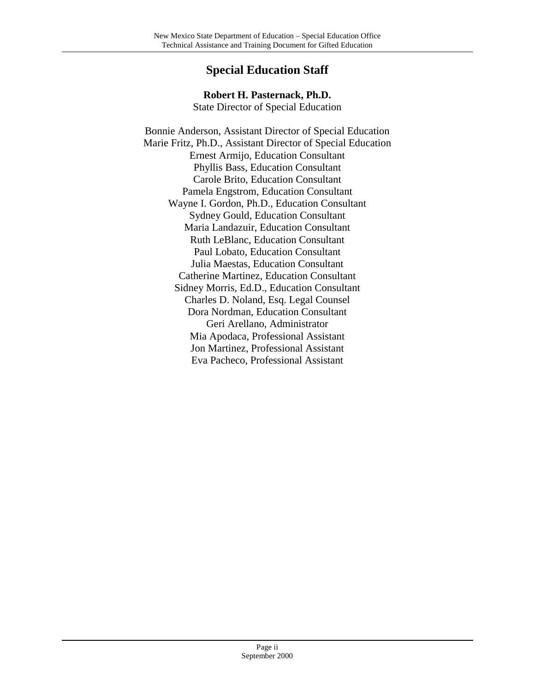### **Special Education Staff**

#### **Robert H. Pasternack, Ph.D.**

State Director of Special Education

Bonnie Anderson, Assistant Director of Special Education Marie Fritz, Ph.D., Assistant Director of Special Education Ernest Armijo, Education Consultant Phyllis Bass, Education Consultant Carole Brito, Education Consultant Pamela Engstrom, Education Consultant Wayne I. Gordon, Ph.D., Education Consultant Sydney Gould, Education Consultant Maria Landazuir, Education Consultant Ruth LeBlanc, Education Consultant Paul Lobato, Education Consultant Julia Maestas, Education Consultant Catherine Martinez, Education Consultant Sidney Morris, Ed.D., Education Consultant Charles D. Noland, Esq. Legal Counsel Dora Nordman, Education Consultant Geri Arellano, Administrator Mia Apodaca, Professional Assistant Jon Martinez, Professional Assistant Eva Pacheco, Professional Assistant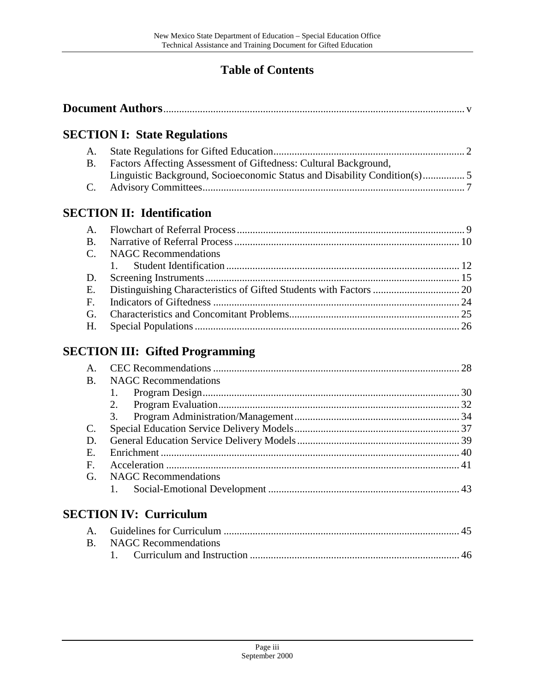## **Table of Contents**

|--|

## **SECTION I: State Regulations**

| B. Factors Affecting Assessment of Giftedness: Cultural Background, |  |
|---------------------------------------------------------------------|--|
|                                                                     |  |
|                                                                     |  |

## **SECTION II: Identification**

| C. NAGC Recommendations |  |
|-------------------------|--|
|                         |  |
|                         |  |
|                         |  |
|                         |  |
|                         |  |
|                         |  |

## **SECTION III: Gifted Programming**

|                |                             | 28 |
|----------------|-----------------------------|----|
| B.             | <b>NAGC</b> Recommendations |    |
|                |                             |    |
|                | 2.                          |    |
|                | 3.                          |    |
| C.             |                             |    |
| D.             |                             |    |
| E.             |                             |    |
| $\mathbf{F}$ . |                             |    |
| G.             | <b>NAGC</b> Recommendations |    |
|                |                             |    |

## **SECTION IV: Curriculum**

| B. NAGC Recommendations |
|-------------------------|
|                         |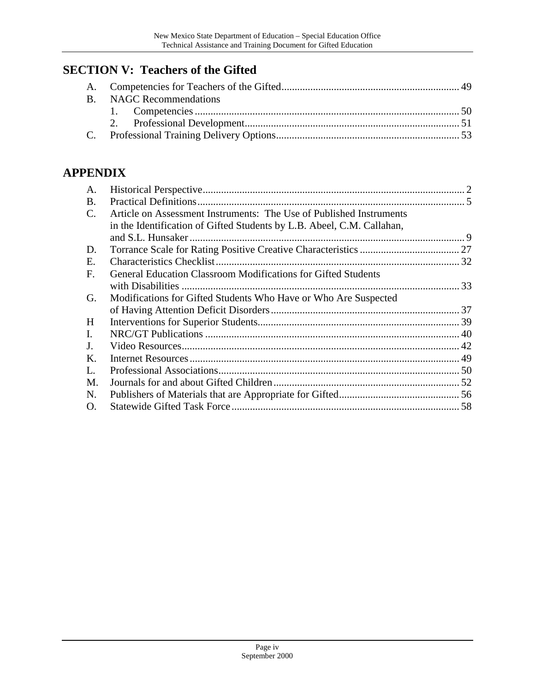## **SECTION V: Teachers of the Gifted**

| B. NAGC Recommendations |  |
|-------------------------|--|
|                         |  |
|                         |  |
|                         |  |

## **APPENDIX**

| A.             |                                                                        |  |
|----------------|------------------------------------------------------------------------|--|
| <b>B.</b>      |                                                                        |  |
| $\mathbf{C}$ . | Article on Assessment Instruments: The Use of Published Instruments    |  |
|                | in the Identification of Gifted Students by L.B. Abeel, C.M. Callahan, |  |
|                | and S.L. Hunsaker.                                                     |  |
| D.             |                                                                        |  |
| E.             |                                                                        |  |
| F.             | General Education Classroom Modifications for Gifted Students          |  |
|                |                                                                        |  |
| G.             | Modifications for Gifted Students Who Have or Who Are Suspected        |  |
|                |                                                                        |  |
| H              |                                                                        |  |
| Ι.             |                                                                        |  |
| J.             |                                                                        |  |
| Κ.             |                                                                        |  |
| L.             |                                                                        |  |
| M.             |                                                                        |  |
| N.             |                                                                        |  |
| O.             |                                                                        |  |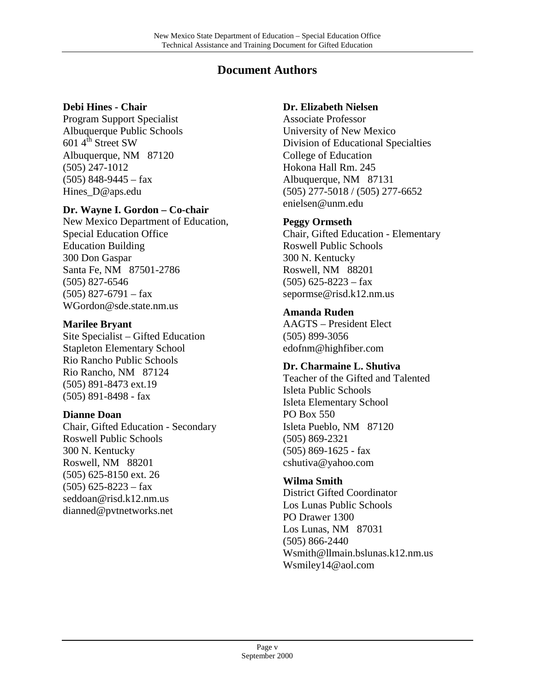### **Document Authors**

#### **Debi Hines - Chair**

Program Support Specialist Albuquerque Public Schools 601  $4^{\text{th}}$  Street SW Albuquerque, NM 87120 (505) 247-1012  $(505)$  848-9445 – fax Hines D@aps.edu

#### **Dr. Wayne I. Gordon – Co-chair**

New Mexico Department of Education, Special Education Office Education Building 300 Don Gaspar Santa Fe, NM 87501-2786 (505) 827-6546  $(505)$  827-6791 – fax WGordon@sde.state.nm.us

#### **Marilee Bryant**

Site Specialist – Gifted Education Stapleton Elementary School Rio Rancho Public Schools Rio Rancho, NM 87124 (505) 891-8473 ext.19 (505) 891-8498 - fax

#### **Dianne Doan**

Chair, Gifted Education - Secondary Roswell Public Schools 300 N. Kentucky Roswell, NM 88201 (505) 625-8150 ext. 26  $(505)$  625-8223 – fax seddoan@risd.k12.nm.us dianned@pvtnetworks.net

#### **Dr. Elizabeth Nielsen**

Associate Professor University of New Mexico Division of Educational Specialties College of Education Hokona Hall Rm. 245 Albuquerque, NM 87131 (505) 277-5018 / (505) 277-6652 enielsen@unm.edu

#### **Peggy Ormseth**

Chair, Gifted Education - Elementary Roswell Public Schools 300 N. Kentucky Roswell, NM 88201  $(505)$  625-8223 – fax sepormse@risd.k12.nm.us

#### **Amanda Ruden**

AAGTS – President Elect (505) 899-3056 edofnm@highfiber.com

#### **Dr. Charmaine L. Shutiva**

Teacher of the Gifted and Talented Isleta Public Schools Isleta Elementary School PO Box 550 Isleta Pueblo, NM 87120 (505) 869-2321 (505) 869-1625 - fax cshutiva@yahoo.com

#### **Wilma Smith**

District Gifted Coordinator Los Lunas Public Schools PO Drawer 1300 Los Lunas, NM 87031 (505) 866-2440 Wsmith@llmain.bslunas.k12.nm.us Wsmiley14@aol.com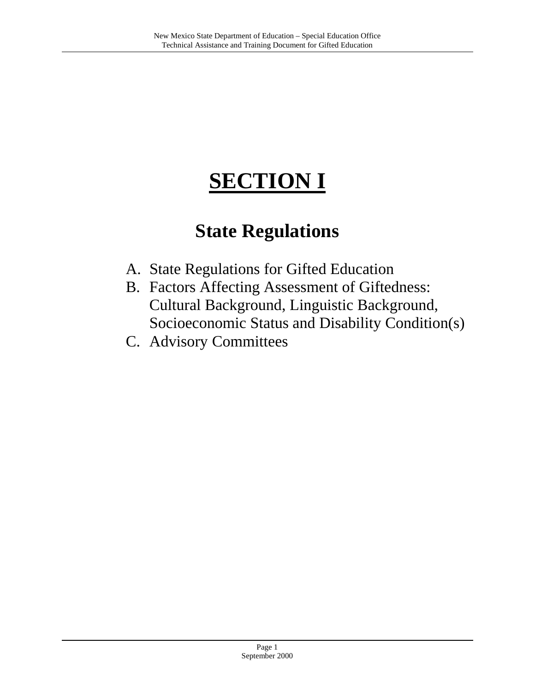## **SECTION I**

## **State Regulations**

- A. State Regulations for Gifted Education
- B. Factors Affecting Assessment of Giftedness: Cultural Background, Linguistic Background, Socioeconomic Status and Disability Condition(s)
- C. Advisory Committees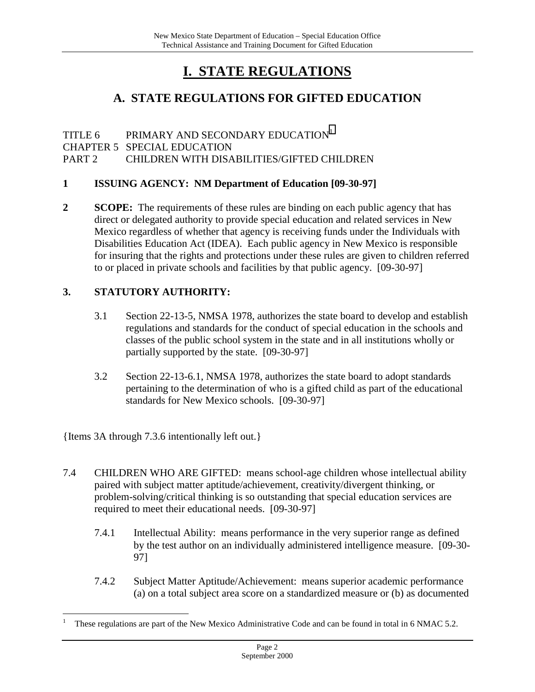## **I. STATE REGULATIONS**

## **A. STATE REGULATIONS FOR GIFTED EDUCATION**

TITLE 6 PRIMARY AND SECONDARY EDUCATION<sup>1</sup> CHAPTER 5 SPECIAL EDUCATION PART 2 CHILDREN WITH DISABILITIES/GIFTED CHILDREN

#### **1 ISSUING AGENCY: NM Department of Education [09-30-97]**

**2 SCOPE:** The requirements of these rules are binding on each public agency that has direct or delegated authority to provide special education and related services in New Mexico regardless of whether that agency is receiving funds under the Individuals with Disabilities Education Act (IDEA). Each public agency in New Mexico is responsible for insuring that the rights and protections under these rules are given to children referred to or placed in private schools and facilities by that public agency. [09-30-97]

#### **3. STATUTORY AUTHORITY:**

- 3.1 Section 22-13-5, NMSA 1978, authorizes the state board to develop and establish regulations and standards for the conduct of special education in the schools and classes of the public school system in the state and in all institutions wholly or partially supported by the state. [09-30-97]
- 3.2 Section 22-13-6.1, NMSA 1978, authorizes the state board to adopt standards pertaining to the determination of who is a gifted child as part of the educational standards for New Mexico schools. [09-30-97]

{Items 3A through 7.3.6 intentionally left out.}

 $\overline{a}$ 

- 7.4 CHILDREN WHO ARE GIFTED: means school-age children whose intellectual ability paired with subject matter aptitude/achievement, creativity/divergent thinking, or problem-solving/critical thinking is so outstanding that special education services are required to meet their educational needs. [09-30-97]
	- 7.4.1 Intellectual Ability: means performance in the very superior range as defined by the test author on an individually administered intelligence measure. [09-30- 97]
	- 7.4.2 Subject Matter Aptitude/Achievement: means superior academic performance (a) on a total subject area score on a standardized measure or (b) as documented

<sup>1</sup> These regulations are part of the New Mexico Administrative Code and can be found in total in 6 NMAC 5.2.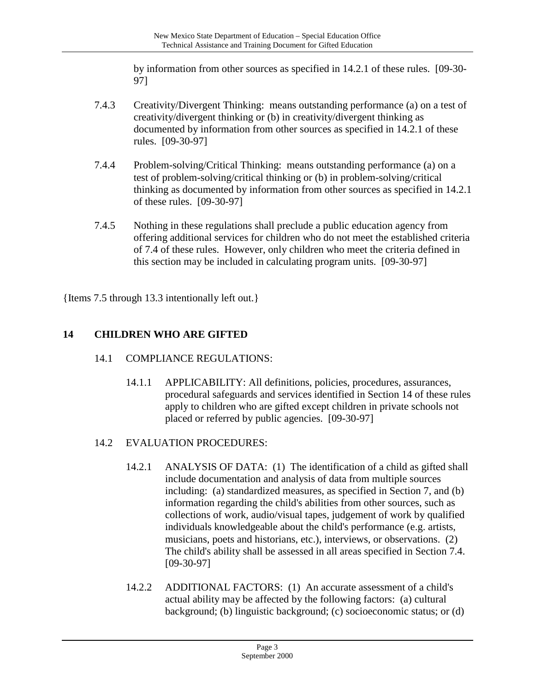by information from other sources as specified in 14.2.1 of these rules. [09-30- 97]

- 7.4.3 Creativity/Divergent Thinking: means outstanding performance (a) on a test of creativity/divergent thinking or (b) in creativity/divergent thinking as documented by information from other sources as specified in 14.2.1 of these rules. [09-30-97]
- 7.4.4 Problem-solving/Critical Thinking: means outstanding performance (a) on a test of problem-solving/critical thinking or (b) in problem-solving/critical thinking as documented by information from other sources as specified in 14.2.1 of these rules. [09-30-97]
- 7.4.5 Nothing in these regulations shall preclude a public education agency from offering additional services for children who do not meet the established criteria of 7.4 of these rules. However, only children who meet the criteria defined in this section may be included in calculating program units. [09-30-97]

{Items 7.5 through 13.3 intentionally left out.}

## **14 CHILDREN WHO ARE GIFTED**

- 14.1 COMPLIANCE REGULATIONS:
	- 14.1.1 APPLICABILITY: All definitions, policies, procedures, assurances, procedural safeguards and services identified in Section 14 of these rules apply to children who are gifted except children in private schools not placed or referred by public agencies. [09-30-97]
- 14.2 EVALUATION PROCEDURES:
	- 14.2.1 ANALYSIS OF DATA: (1) The identification of a child as gifted shall include documentation and analysis of data from multiple sources including: (a) standardized measures, as specified in Section 7, and (b) information regarding the child's abilities from other sources, such as collections of work, audio/visual tapes, judgement of work by qualified individuals knowledgeable about the child's performance (e.g. artists, musicians, poets and historians, etc.), interviews, or observations. (2) The child's ability shall be assessed in all areas specified in Section 7.4. [09-30-97]
	- 14.2.2 ADDITIONAL FACTORS: (1) An accurate assessment of a child's actual ability may be affected by the following factors: (a) cultural background; (b) linguistic background; (c) socioeconomic status; or (d)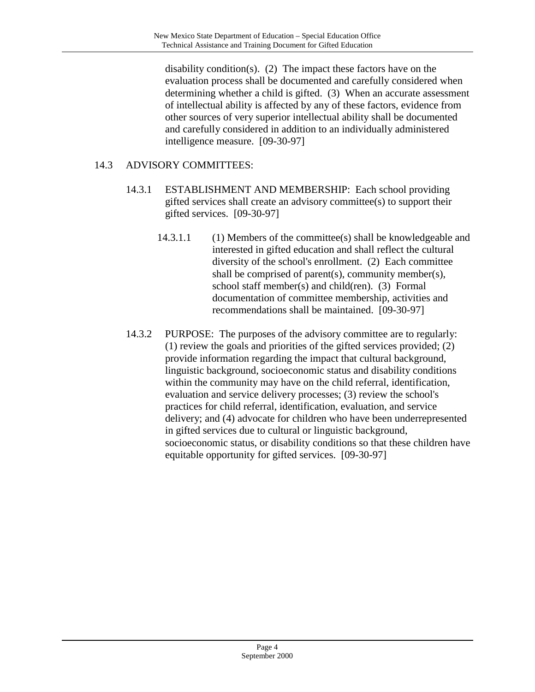disability condition(s). (2) The impact these factors have on the evaluation process shall be documented and carefully considered when determining whether a child is gifted. (3) When an accurate assessment of intellectual ability is affected by any of these factors, evidence from other sources of very superior intellectual ability shall be documented and carefully considered in addition to an individually administered intelligence measure. [09-30-97]

#### 14.3 ADVISORY COMMITTEES:

- 14.3.1 ESTABLISHMENT AND MEMBERSHIP: Each school providing gifted services shall create an advisory committee(s) to support their gifted services. [09-30-97]
	- 14.3.1.1 (1) Members of the committee(s) shall be knowledgeable and interested in gifted education and shall reflect the cultural diversity of the school's enrollment. (2) Each committee shall be comprised of parent(s), community member(s), school staff member(s) and child(ren). (3) Formal documentation of committee membership, activities and recommendations shall be maintained. [09-30-97]
- 14.3.2 PURPOSE: The purposes of the advisory committee are to regularly: (1) review the goals and priorities of the gifted services provided; (2) provide information regarding the impact that cultural background, linguistic background, socioeconomic status and disability conditions within the community may have on the child referral, identification, evaluation and service delivery processes; (3) review the school's practices for child referral, identification, evaluation, and service delivery; and (4) advocate for children who have been underrepresented in gifted services due to cultural or linguistic background, socioeconomic status, or disability conditions so that these children have equitable opportunity for gifted services. [09-30-97]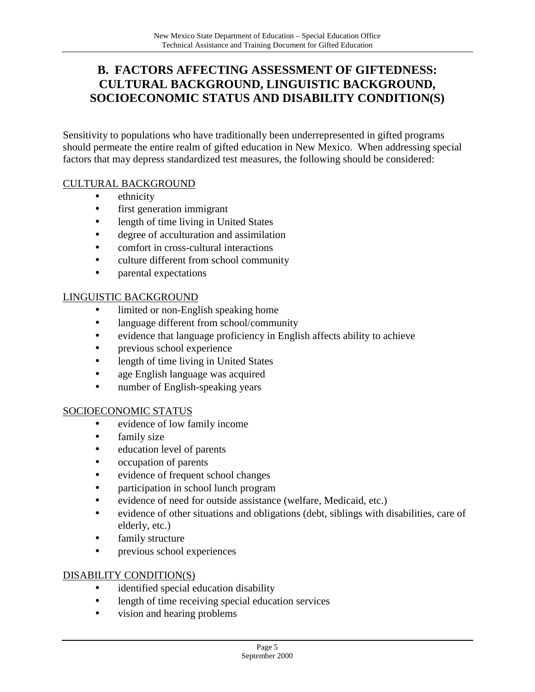### **B. FACTORS AFFECTING ASSESSMENT OF GIFTEDNESS: CULTURAL BACKGROUND, LINGUISTIC BACKGROUND, SOCIOECONOMIC STATUS AND DISABILITY CONDITION(S)**

Sensitivity to populations who have traditionally been underrepresented in gifted programs should permeate the entire realm of gifted education in New Mexico. When addressing special factors that may depress standardized test measures, the following should be considered:

#### CULTURAL BACKGROUND

- ethnicity
- first generation immigrant
- length of time living in United States
- degree of acculturation and assimilation
- comfort in cross-cultural interactions
- culture different from school community
- parental expectations

#### LINGUISTIC BACKGROUND

- limited or non-English speaking home
- language different from school/community
- evidence that language proficiency in English affects ability to achieve
- previous school experience
- length of time living in United States
- age English language was acquired
- number of English-speaking years

#### SOCIOECONOMIC STATUS

- evidence of low family income
- family size
- education level of parents
- occupation of parents
- evidence of frequent school changes
- participation in school lunch program
- evidence of need for outside assistance (welfare, Medicaid, etc.)
- evidence of other situations and obligations (debt, siblings with disabilities, care of elderly, etc.)
- family structure
- previous school experiences

#### DISABILITY CONDITION(S)

- identified special education disability
- length of time receiving special education services
- vision and hearing problems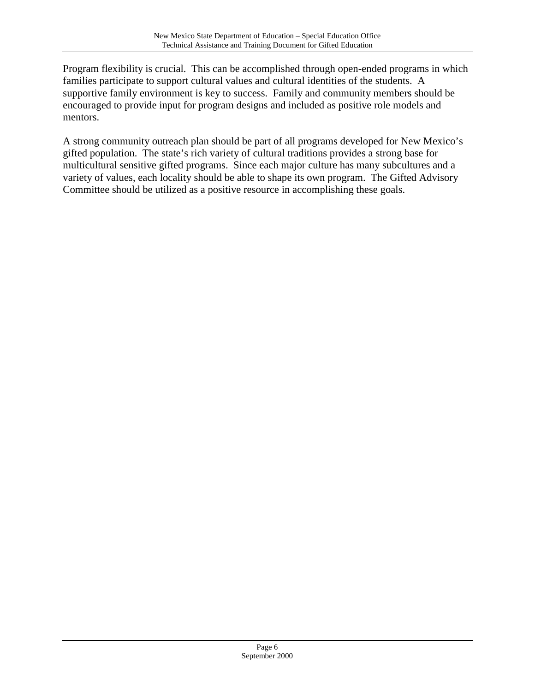Program flexibility is crucial. This can be accomplished through open-ended programs in which families participate to support cultural values and cultural identities of the students. A supportive family environment is key to success. Family and community members should be encouraged to provide input for program designs and included as positive role models and mentors.

A strong community outreach plan should be part of all programs developed for New Mexico's gifted population. The state's rich variety of cultural traditions provides a strong base for multicultural sensitive gifted programs. Since each major culture has many subcultures and a variety of values, each locality should be able to shape its own program. The Gifted Advisory Committee should be utilized as a positive resource in accomplishing these goals.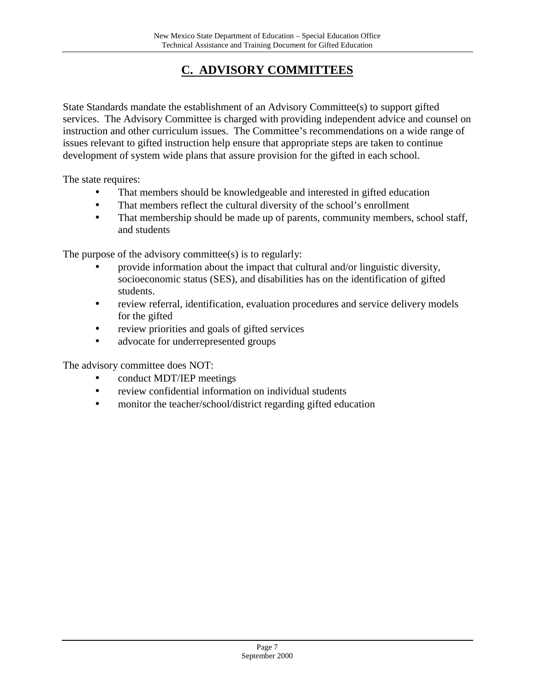## **C. ADVISORY COMMITTEES**

State Standards mandate the establishment of an Advisory Committee(s) to support gifted services. The Advisory Committee is charged with providing independent advice and counsel on instruction and other curriculum issues. The Committee's recommendations on a wide range of issues relevant to gifted instruction help ensure that appropriate steps are taken to continue development of system wide plans that assure provision for the gifted in each school.

The state requires:

- That members should be knowledgeable and interested in gifted education
- That members reflect the cultural diversity of the school's enrollment
- That membership should be made up of parents, community members, school staff, and students

The purpose of the advisory committee(s) is to regularly:

- provide information about the impact that cultural and/or linguistic diversity, socioeconomic status (SES), and disabilities has on the identification of gifted students.
- review referral, identification, evaluation procedures and service delivery models for the gifted
- review priorities and goals of gifted services
- advocate for underrepresented groups

The advisory committee does NOT:

- conduct MDT/IEP meetings
- review confidential information on individual students
- monitor the teacher/school/district regarding gifted education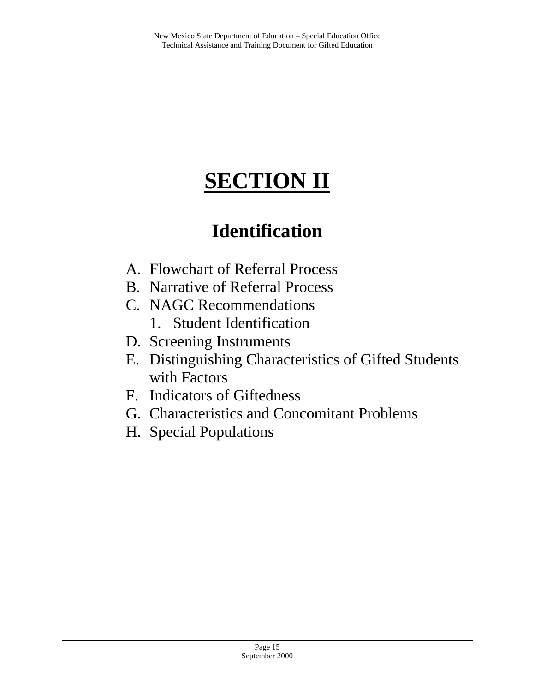# **SECTION II**

## **Identification**

- A. Flowchart of Referral Process
- B. Narrative of Referral Process
- C. NAGC Recommendations
	- 1. Student Identification
- D. Screening Instruments
- E. Distinguishing Characteristics of Gifted Students with Factors
- F. Indicators of Giftedness
- G. Characteristics and Concomitant Problems
- H. Special Populations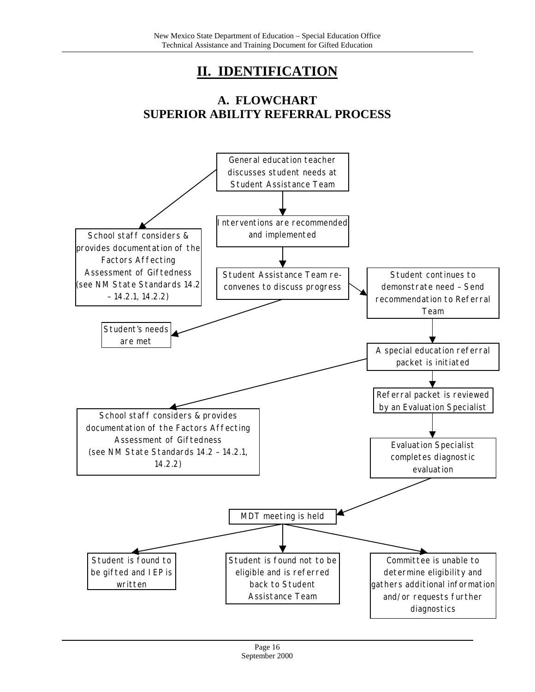## **II. IDENTIFICATION**

## **A. FLOWCHART SUPERIOR ABILITY REFERRAL PROCESS**

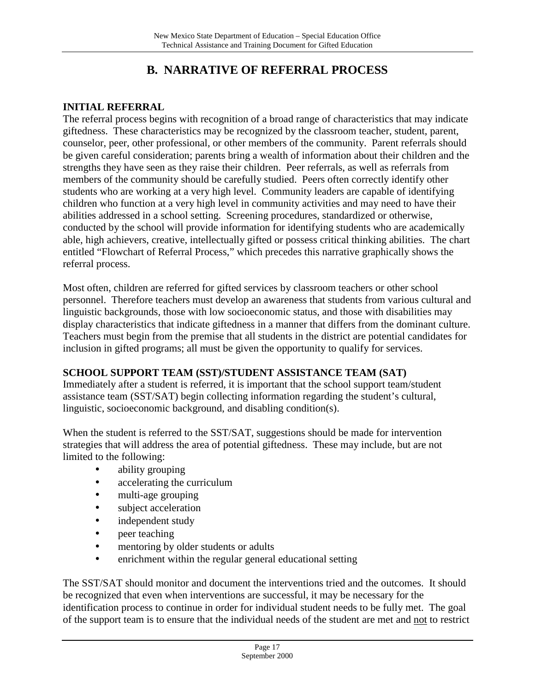## **B. NARRATIVE OF REFERRAL PROCESS**

#### **INITIAL REFERRAL**

The referral process begins with recognition of a broad range of characteristics that may indicate giftedness. These characteristics may be recognized by the classroom teacher, student, parent, counselor, peer, other professional, or other members of the community. Parent referrals should be given careful consideration; parents bring a wealth of information about their children and the strengths they have seen as they raise their children. Peer referrals, as well as referrals from members of the community should be carefully studied. Peers often correctly identify other students who are working at a very high level. Community leaders are capable of identifying children who function at a very high level in community activities and may need to have their abilities addressed in a school setting. Screening procedures, standardized or otherwise, conducted by the school will provide information for identifying students who are academically able, high achievers, creative, intellectually gifted or possess critical thinking abilities. The chart entitled "Flowchart of Referral Process," which precedes this narrative graphically shows the referral process.

Most often, children are referred for gifted services by classroom teachers or other school personnel. Therefore teachers must develop an awareness that students from various cultural and linguistic backgrounds, those with low socioeconomic status, and those with disabilities may display characteristics that indicate giftedness in a manner that differs from the dominant culture. Teachers must begin from the premise that all students in the district are potential candidates for inclusion in gifted programs; all must be given the opportunity to qualify for services.

#### **SCHOOL SUPPORT TEAM (SST)/STUDENT ASSISTANCE TEAM (SAT)**

Immediately after a student is referred, it is important that the school support team/student assistance team (SST/SAT) begin collecting information regarding the student's cultural, linguistic, socioeconomic background, and disabling condition(s).

When the student is referred to the SST/SAT, suggestions should be made for intervention strategies that will address the area of potential giftedness. These may include, but are not limited to the following:

- ability grouping
- accelerating the curriculum
- multi-age grouping
- subject acceleration
- independent study
- peer teaching
- mentoring by older students or adults
- enrichment within the regular general educational setting

The SST/SAT should monitor and document the interventions tried and the outcomes. It should be recognized that even when interventions are successful, it may be necessary for the identification process to continue in order for individual student needs to be fully met. The goal of the support team is to ensure that the individual needs of the student are met and not to restrict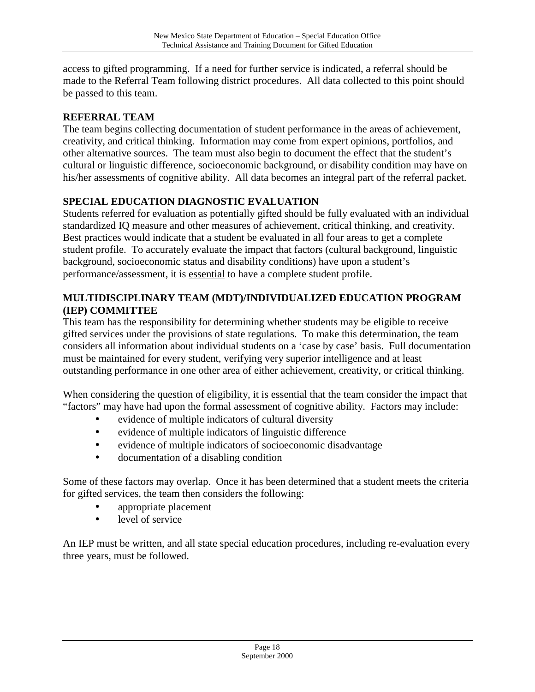access to gifted programming. If a need for further service is indicated, a referral should be made to the Referral Team following district procedures. All data collected to this point should be passed to this team.

#### **REFERRAL TEAM**

The team begins collecting documentation of student performance in the areas of achievement, creativity, and critical thinking. Information may come from expert opinions, portfolios, and other alternative sources. The team must also begin to document the effect that the student's cultural or linguistic difference, socioeconomic background, or disability condition may have on his/her assessments of cognitive ability. All data becomes an integral part of the referral packet.

#### **SPECIAL EDUCATION DIAGNOSTIC EVALUATION**

Students referred for evaluation as potentially gifted should be fully evaluated with an individual standardized IQ measure and other measures of achievement, critical thinking, and creativity. Best practices would indicate that a student be evaluated in all four areas to get a complete student profile. To accurately evaluate the impact that factors (cultural background, linguistic background, socioeconomic status and disability conditions) have upon a student's performance/assessment, it is essential to have a complete student profile.

#### **MULTIDISCIPLINARY TEAM (MDT)/INDIVIDUALIZED EDUCATION PROGRAM (IEP) COMMITTEE**

This team has the responsibility for determining whether students may be eligible to receive gifted services under the provisions of state regulations. To make this determination, the team considers all information about individual students on a 'case by case' basis. Full documentation must be maintained for every student, verifying very superior intelligence and at least outstanding performance in one other area of either achievement, creativity, or critical thinking.

When considering the question of eligibility, it is essential that the team consider the impact that "factors" may have had upon the formal assessment of cognitive ability. Factors may include:

- evidence of multiple indicators of cultural diversity
- evidence of multiple indicators of linguistic difference
- evidence of multiple indicators of socioeconomic disadvantage
- documentation of a disabling condition

Some of these factors may overlap. Once it has been determined that a student meets the criteria for gifted services, the team then considers the following:

- appropriate placement
- level of service

An IEP must be written, and all state special education procedures, including re-evaluation every three years, must be followed.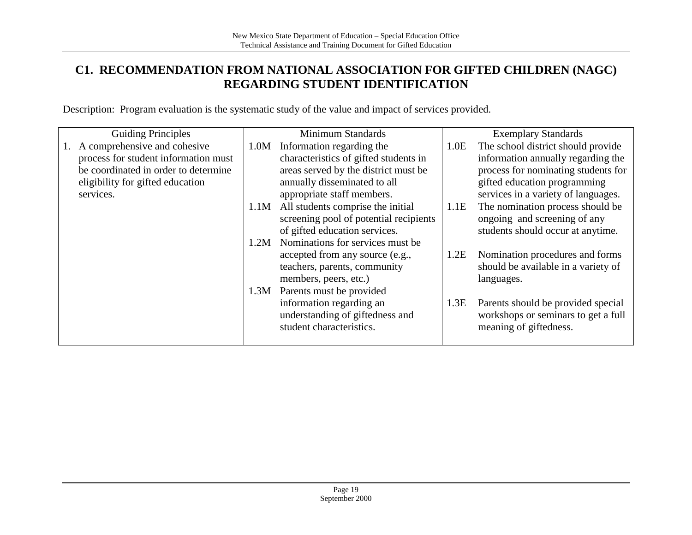## **C1. RECOMMENDATION FROM NATIONAL ASSOCIATION FOR GIFTED CHILDREN (NAGC) REGARDING STUDENT IDENTIFICATION**

Description: Program evaluation is the systematic study of the value and impact of services provided.

| <b>Guiding Principles</b>            |      | Minimum Standards                      |      | <b>Exemplary Standards</b>          |
|--------------------------------------|------|----------------------------------------|------|-------------------------------------|
| 1. A comprehensive and cohesive      | 1.0M | Information regarding the              | 1.0E | The school district should provide  |
| process for student information must |      | characteristics of gifted students in  |      | information annually regarding the  |
| be coordinated in order to determine |      | areas served by the district must be   |      | process for nominating students for |
| eligibility for gifted education     |      | annually disseminated to all           |      | gifted education programming        |
| services.                            |      | appropriate staff members.             |      | services in a variety of languages. |
|                                      | 1.1M | All students comprise the initial      | 1.1E | The nomination process should be    |
|                                      |      | screening pool of potential recipients |      | ongoing and screening of any        |
|                                      |      | of gifted education services.          |      | students should occur at anytime.   |
|                                      | 1.2M | Nominations for services must be       |      |                                     |
|                                      |      | accepted from any source (e.g.,        | 1.2E | Nomination procedures and forms     |
|                                      |      | teachers, parents, community           |      | should be available in a variety of |
|                                      |      | members, peers, etc.)                  |      | languages.                          |
|                                      | 1.3M | Parents must be provided               |      |                                     |
|                                      |      | information regarding an               | 1.3E | Parents should be provided special  |
|                                      |      | understanding of giftedness and        |      | workshops or seminars to get a full |
|                                      |      | student characteristics.               |      | meaning of giftedness.              |
|                                      |      |                                        |      |                                     |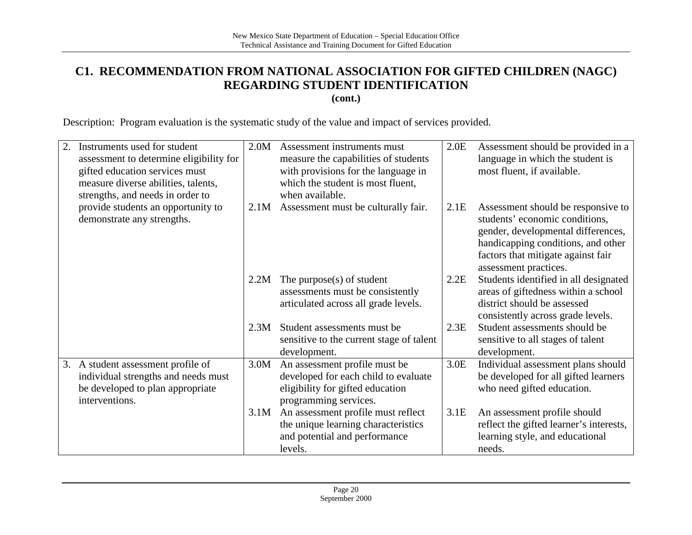## **C1. RECOMMENDATION FROM NATIONAL ASSOCIATION FOR GIFTED CHILDREN (NAGC) REGARDING STUDENT IDENTIFICATION**

**(cont.)**

Description: Program evaluation is the systematic study of the value and impact of services provided.

| 2. | Instruments used for student<br>assessment to determine eligibility for<br>gifted education services must<br>measure diverse abilities, talents,<br>strengths, and needs in order to | 2.0M | Assessment instruments must<br>measure the capabilities of students<br>with provisions for the language in<br>which the student is most fluent,<br>when available. | 2.0E | Assessment should be provided in a<br>language in which the student is<br>most fluent, if available.                                                                                                            |
|----|--------------------------------------------------------------------------------------------------------------------------------------------------------------------------------------|------|--------------------------------------------------------------------------------------------------------------------------------------------------------------------|------|-----------------------------------------------------------------------------------------------------------------------------------------------------------------------------------------------------------------|
|    | provide students an opportunity to<br>demonstrate any strengths.                                                                                                                     | 2.1M | Assessment must be culturally fair.                                                                                                                                | 2.1E | Assessment should be responsive to<br>students' economic conditions,<br>gender, developmental differences,<br>handicapping conditions, and other<br>factors that mitigate against fair<br>assessment practices. |
|    |                                                                                                                                                                                      | 2.2M | The purpose $(s)$ of student<br>assessments must be consistently<br>articulated across all grade levels.                                                           | 2.2E | Students identified in all designated<br>areas of giftedness within a school<br>district should be assessed<br>consistently across grade levels.                                                                |
|    |                                                                                                                                                                                      | 2.3M | Student assessments must be<br>sensitive to the current stage of talent<br>development.                                                                            | 2.3E | Student assessments should be<br>sensitive to all stages of talent<br>development.                                                                                                                              |
| 3. | A student assessment profile of<br>individual strengths and needs must<br>be developed to plan appropriate<br>interventions.                                                         | 3.0M | An assessment profile must be<br>developed for each child to evaluate<br>eligibility for gifted education<br>programming services.                                 | 3.0E | Individual assessment plans should<br>be developed for all gifted learners<br>who need gifted education.                                                                                                        |
|    |                                                                                                                                                                                      | 3.1M | An assessment profile must reflect<br>the unique learning characteristics<br>and potential and performance<br>levels.                                              | 3.1E | An assessment profile should<br>reflect the gifted learner's interests,<br>learning style, and educational<br>needs.                                                                                            |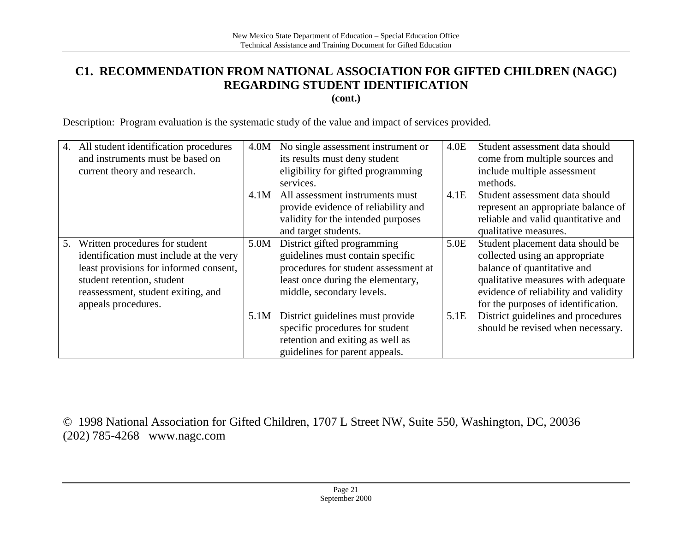## **C1. RECOMMENDATION FROM NATIONAL ASSOCIATION FOR GIFTED CHILDREN (NAGC) REGARDING STUDENT IDENTIFICATION**

**(cont.)**

Description: Program evaluation is the systematic study of the value and impact of services provided.

| 4. | All student identification procedures<br>and instruments must be based on<br>current theory and research.                                                                                                      | 4.0M | No single assessment instrument or<br>its results must deny student<br>eligibility for gifted programming<br>services.                                                    | 4.0E | Student assessment data should<br>come from multiple sources and<br>include multiple assessment<br>methods.                                                                                                            |
|----|----------------------------------------------------------------------------------------------------------------------------------------------------------------------------------------------------------------|------|---------------------------------------------------------------------------------------------------------------------------------------------------------------------------|------|------------------------------------------------------------------------------------------------------------------------------------------------------------------------------------------------------------------------|
|    |                                                                                                                                                                                                                | 4.1M | All assessment instruments must<br>provide evidence of reliability and<br>validity for the intended purposes<br>and target students.                                      | 4.1E | Student assessment data should<br>represent an appropriate balance of<br>reliable and valid quantitative and<br>qualitative measures.                                                                                  |
| 5. | Written procedures for student<br>identification must include at the very<br>least provisions for informed consent,<br>student retention, student<br>reassessment, student exiting, and<br>appeals procedures. | 5.0M | District gifted programming<br>guidelines must contain specific<br>procedures for student assessment at<br>least once during the elementary,<br>middle, secondary levels. | 5.0E | Student placement data should be<br>collected using an appropriate<br>balance of quantitative and<br>qualitative measures with adequate<br>evidence of reliability and validity<br>for the purposes of identification. |
|    |                                                                                                                                                                                                                | 5.1M | District guidelines must provide<br>specific procedures for student<br>retention and exiting as well as<br>guidelines for parent appeals.                                 | 5.1E | District guidelines and procedures<br>should be revised when necessary.                                                                                                                                                |

© 1998 National Association for Gifted Children, 1707 L Street NW, Suite 550, Washington, DC, 20036 (202) 785-4268 www.nagc.com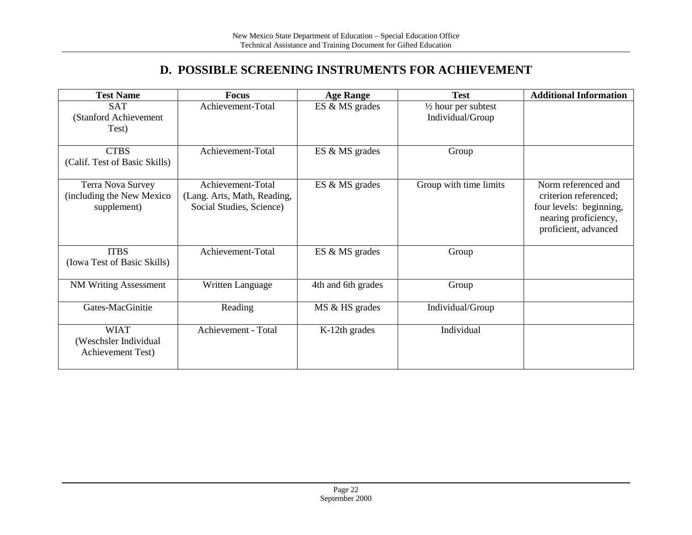## **D. POSSIBLE SCREENING INSTRUMENTS FOR ACHIEVEMENT**

| <b>Test Name</b>                                               | Focus                                                                        | <b>Age Range</b>   | <b>Test</b>                                        | <b>Additional Information</b>                                                                                           |
|----------------------------------------------------------------|------------------------------------------------------------------------------|--------------------|----------------------------------------------------|-------------------------------------------------------------------------------------------------------------------------|
| <b>SAT</b><br>(Stanford Achievement<br>Test)                   | Achievement-Total                                                            | ES & MS grades     | $\frac{1}{2}$ hour per subtest<br>Individual/Group |                                                                                                                         |
| <b>CTBS</b><br>(Calif. Test of Basic Skills)                   | Achievement-Total                                                            | ES & MS grades     | Group                                              |                                                                                                                         |
| Terra Nova Survey<br>(including the New Mexico)<br>supplement) | Achievement-Total<br>(Lang. Arts, Math, Reading,<br>Social Studies, Science) | ES & MS grades     | Group with time limits                             | Norm referenced and<br>criterion referenced;<br>four levels: beginning,<br>nearing proficiency,<br>proficient, advanced |
| <b>ITBS</b><br>(Iowa Test of Basic Skills)                     | Achievement-Total                                                            | ES & MS grades     | Group                                              |                                                                                                                         |
| <b>NM Writing Assessment</b>                                   | Written Language                                                             | 4th and 6th grades | Group                                              |                                                                                                                         |
| Gates-MacGinitie                                               | Reading                                                                      | MS & HS grades     | Individual/Group                                   |                                                                                                                         |
| <b>WIAT</b><br>(Weschsler Individual<br>Achievement Test)      | Achievement - Total                                                          | K-12th grades      | Individual                                         |                                                                                                                         |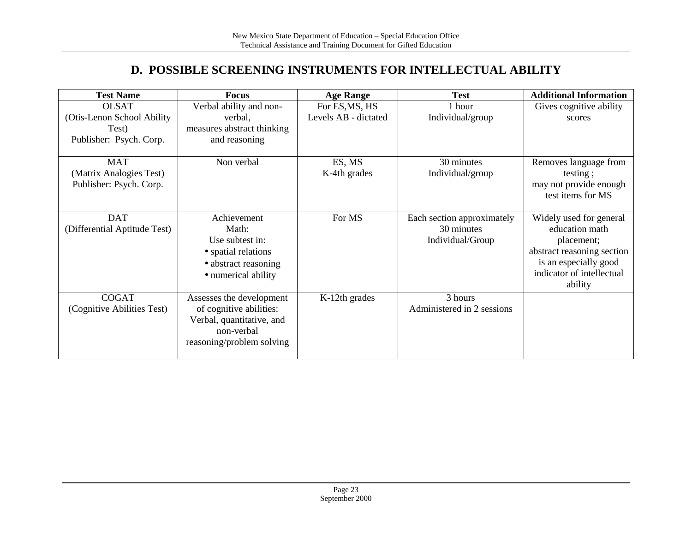## **D. POSSIBLE SCREENING INSTRUMENTS FOR INTELLECTUAL ABILITY**

| <b>Test Name</b>             | Focus                      | <b>Age Range</b>     | <b>Test</b>                | <b>Additional Information</b> |
|------------------------------|----------------------------|----------------------|----------------------------|-------------------------------|
| <b>OLSAT</b>                 | Verbal ability and non-    | For ES, MS, HS       | 1 hour                     | Gives cognitive ability       |
| (Otis-Lenon School Ability)  | verbal,                    | Levels AB - dictated | Individual/group           | scores                        |
| Test)                        | measures abstract thinking |                      |                            |                               |
| Publisher: Psych. Corp.      | and reasoning              |                      |                            |                               |
|                              |                            |                      |                            |                               |
| <b>MAT</b>                   | Non verbal                 | ES, MS               | 30 minutes                 | Removes language from         |
| (Matrix Analogies Test)      |                            | K-4th grades         | Individual/group           | testing;                      |
| Publisher: Psych. Corp.      |                            |                      |                            | may not provide enough        |
|                              |                            |                      |                            | test items for MS             |
|                              |                            |                      |                            |                               |
| <b>DAT</b>                   | Achievement                | For MS               | Each section approximately | Widely used for general       |
| (Differential Aptitude Test) | Math:                      |                      | 30 minutes                 | education math                |
|                              | Use subtest in:            |                      | Individual/Group           | placement;                    |
|                              | • spatial relations        |                      |                            | abstract reasoning section    |
|                              | • abstract reasoning       |                      |                            | is an especially good         |
|                              | • numerical ability        |                      |                            | indicator of intellectual     |
|                              |                            |                      |                            | ability                       |
| <b>COGAT</b>                 | Assesses the development   | K-12th grades        | 3 hours                    |                               |
| (Cognitive Abilities Test)   | of cognitive abilities:    |                      | Administered in 2 sessions |                               |
|                              | Verbal, quantitative, and  |                      |                            |                               |
|                              | non-verbal                 |                      |                            |                               |
|                              | reasoning/problem solving  |                      |                            |                               |
|                              |                            |                      |                            |                               |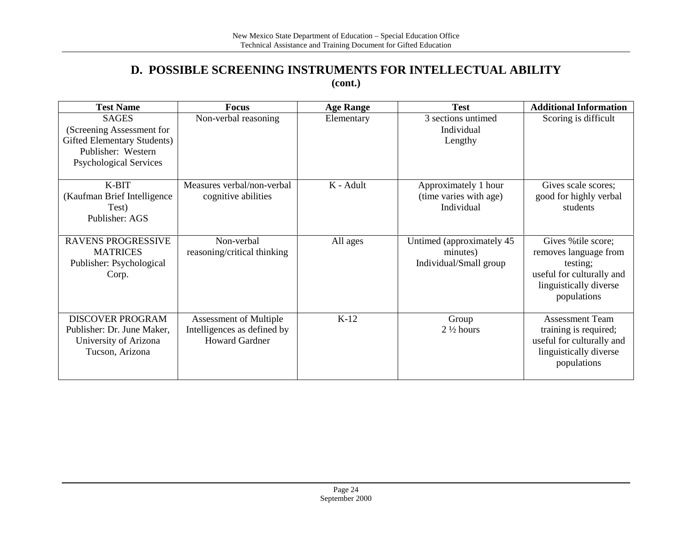#### **D. POSSIBLE SCREENING INSTRUMENTS FOR INTELLECTUAL ABILITY (cont.)**

| <b>Test Name</b>                                                                                                                | <b>Focus</b>                                                                          | <b>Age Range</b> | <b>Test</b>                                                     | <b>Additional Information</b>                                                                                                  |
|---------------------------------------------------------------------------------------------------------------------------------|---------------------------------------------------------------------------------------|------------------|-----------------------------------------------------------------|--------------------------------------------------------------------------------------------------------------------------------|
| <b>SAGES</b><br>(Screening Assessment for<br>Gifted Elementary Students)<br>Publisher: Western<br><b>Psychological Services</b> | Non-verbal reasoning                                                                  | Elementary       | 3 sections untimed<br>Individual<br>Lengthy                     | Scoring is difficult                                                                                                           |
| K-BIT<br>(Kaufman Brief Intelligence)<br>Test)<br>Publisher: AGS                                                                | Measures verbal/non-verbal<br>cognitive abilities                                     | K - Adult        | Approximately 1 hour<br>(time varies with age)<br>Individual    | Gives scale scores;<br>good for highly verbal<br>students                                                                      |
| <b>RAVENS PROGRESSIVE</b><br><b>MATRICES</b><br>Publisher: Psychological<br>Corp.                                               | Non-verbal<br>reasoning/critical thinking                                             | All ages         | Untimed (approximately 45<br>minutes)<br>Individual/Small group | Gives % tile score;<br>removes language from<br>testing;<br>useful for culturally and<br>linguistically diverse<br>populations |
| <b>DISCOVER PROGRAM</b><br>Publisher: Dr. June Maker,<br>University of Arizona<br>Tucson, Arizona                               | <b>Assessment of Multiple</b><br>Intelligences as defined by<br><b>Howard Gardner</b> | $K-12$           | Group<br>$2\frac{1}{2}$ hours                                   | <b>Assessment Team</b><br>training is required;<br>useful for culturally and<br>linguistically diverse<br>populations          |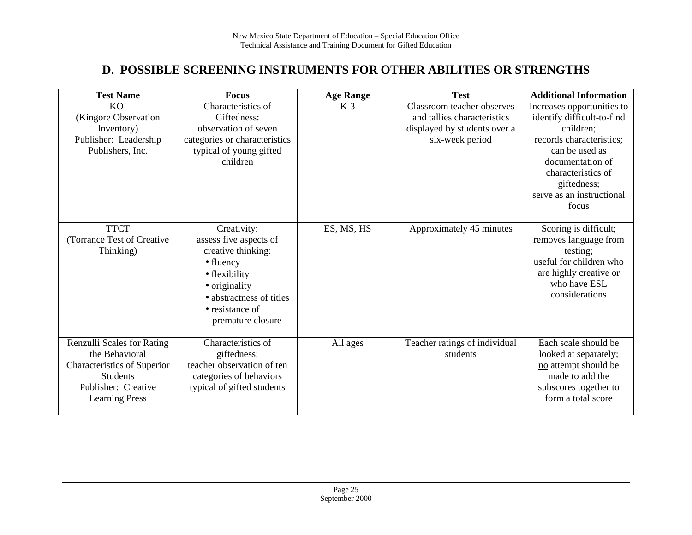### **D. POSSIBLE SCREENING INSTRUMENTS FOR OTHER ABILITIES OR STRENGTHS**

| <b>Test Name</b>                          | <b>Focus</b>                        | <b>Age Range</b> | <b>Test</b>                               | <b>Additional Information</b>              |
|-------------------------------------------|-------------------------------------|------------------|-------------------------------------------|--------------------------------------------|
| KOI                                       | Characteristics of                  | $K-3$            | Classroom teacher observes                | Increases opportunities to                 |
| (Kingore Observation                      | Giftedness:                         |                  | and tallies characteristics               | identify difficult-to-find                 |
| Inventory)                                | observation of seven                |                  | displayed by students over a              | children;                                  |
| Publisher: Leadership<br>Publishers, Inc. | categories or characteristics       |                  | six-week period                           | records characteristics;<br>can be used as |
|                                           | typical of young gifted<br>children |                  |                                           | documentation of                           |
|                                           |                                     |                  |                                           | characteristics of                         |
|                                           |                                     |                  |                                           | giftedness;                                |
|                                           |                                     |                  |                                           | serve as an instructional                  |
|                                           |                                     |                  |                                           | focus                                      |
|                                           |                                     |                  |                                           |                                            |
| <b>TTCT</b>                               | Creativity:                         | ES, MS, HS       | Approximately 45 minutes                  | Scoring is difficult;                      |
| (Torrance Test of Creative)               | assess five aspects of              |                  |                                           | removes language from                      |
| Thinking)                                 | creative thinking:                  |                  |                                           | testing;                                   |
|                                           | $\bullet$ fluency                   |                  |                                           | useful for children who                    |
|                                           | • flexibility                       |                  |                                           | are highly creative or                     |
|                                           | • originality                       |                  |                                           | who have ESL<br>considerations             |
|                                           | • abstractness of titles            |                  |                                           |                                            |
|                                           | • resistance of                     |                  |                                           |                                            |
|                                           | premature closure                   |                  |                                           |                                            |
| Renzulli Scales for Rating                | Characteristics of                  |                  |                                           | Each scale should be                       |
| the Behavioral                            | giftedness:                         | All ages         | Teacher ratings of individual<br>students | looked at separately;                      |
| Characteristics of Superior               | teacher observation of ten          |                  |                                           | no attempt should be                       |
| <b>Students</b>                           | categories of behaviors             |                  |                                           | made to add the                            |
| Publisher: Creative                       | typical of gifted students          |                  |                                           | subscores together to                      |
| <b>Learning Press</b>                     |                                     |                  |                                           | form a total score                         |
|                                           |                                     |                  |                                           |                                            |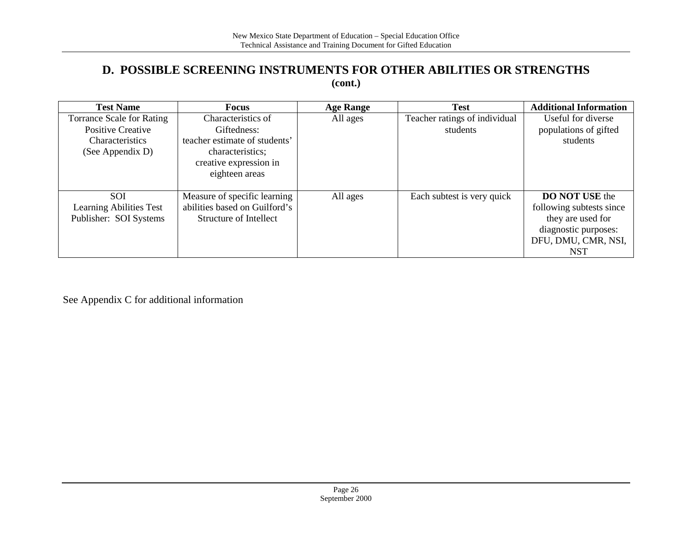#### **D. POSSIBLE SCREENING INSTRUMENTS FOR OTHER ABILITIES OR STRENGTHS (cont.)**

| <b>Test Name</b>                 | <b>Focus</b><br><b>Age Range</b> |          | <b>Test</b>                   | <b>Additional Information</b> |
|----------------------------------|----------------------------------|----------|-------------------------------|-------------------------------|
| <b>Torrance Scale for Rating</b> | Characteristics of               | All ages | Teacher ratings of individual | Useful for diverse            |
| <b>Positive Creative</b>         | Giftedness:                      |          | students                      | populations of gifted         |
| <b>Characteristics</b>           | teacher estimate of students'    |          |                               | students                      |
| (See Appendix D)                 | characteristics;                 |          |                               |                               |
|                                  | creative expression in           |          |                               |                               |
|                                  | eighteen areas                   |          |                               |                               |
|                                  |                                  |          |                               |                               |
| <b>SOI</b>                       | Measure of specific learning     | All ages | Each subtest is very quick    | <b>DO NOT USE the</b>         |
| Learning Abilities Test          | abilities based on Guilford's    |          |                               | following subtests since      |
| Publisher: SOI Systems           | Structure of Intellect           |          |                               | they are used for             |
|                                  |                                  |          |                               | diagnostic purposes:          |
|                                  |                                  |          |                               | DFU, DMU, CMR, NSI,           |
|                                  |                                  |          |                               | <b>NST</b>                    |

See Appendix C for additional information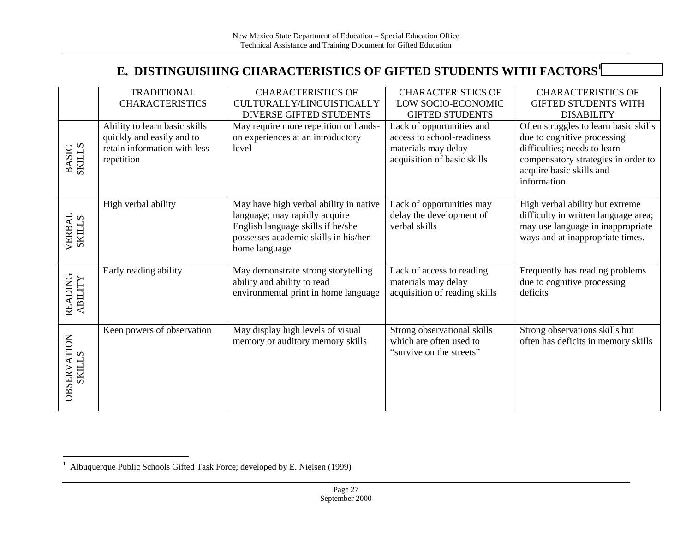## **E. DISTINGUISHING CHARACTERISTICS OF GIFTED STUDENTS WITH FACTORS<sup>1</sup>**

|                        | <b>TRADITIONAL</b>                                        | <b>CHARACTERISTICS OF</b>                  | <b>CHARACTERISTICS OF</b>     | <b>CHARACTERISTICS OF</b>                                       |
|------------------------|-----------------------------------------------------------|--------------------------------------------|-------------------------------|-----------------------------------------------------------------|
|                        | <b>CHARACTERISTICS</b>                                    | CULTURALLY/LINGUISTICALLY                  | LOW SOCIO-ECONOMIC            | <b>GIFTED STUDENTS WITH</b>                                     |
|                        |                                                           | DIVERSE GIFTED STUDENTS                    | <b>GIFTED STUDENTS</b>        | <b>DISABILITY</b>                                               |
|                        | Ability to learn basic skills                             | May require more repetition or hands-      | Lack of opportunities and     | Often struggles to learn basic skills                           |
|                        | quickly and easily and to<br>retain information with less | on experiences at an introductory<br>level | access to school-readiness    | due to cognitive processing<br>difficulties; needs to learn     |
|                        |                                                           |                                            | materials may delay           |                                                                 |
| <b>BASIC</b><br>SKILLS | repetition                                                |                                            | acquisition of basic skills   | compensatory strategies in order to<br>acquire basic skills and |
|                        |                                                           |                                            |                               | information                                                     |
|                        |                                                           |                                            |                               |                                                                 |
|                        | High verbal ability                                       | May have high verbal ability in native     | Lack of opportunities may     | High verbal ability but extreme                                 |
|                        |                                                           | language; may rapidly acquire              | delay the development of      | difficulty in written language area;                            |
| VERBAL<br>SKILLS       |                                                           | English language skills if he/she          | verbal skills                 | may use language in inappropriate                               |
|                        |                                                           | possesses academic skills in his/her       |                               | ways and at inappropriate times.                                |
|                        |                                                           | home language                              |                               |                                                                 |
|                        |                                                           |                                            |                               |                                                                 |
|                        | Early reading ability                                     | May demonstrate strong storytelling        | Lack of access to reading     | Frequently has reading problems                                 |
|                        |                                                           | ability and ability to read                | materials may delay           | due to cognitive processing                                     |
|                        |                                                           | environmental print in home language       | acquisition of reading skills | deficits                                                        |
| READING<br>ABILITY     |                                                           |                                            |                               |                                                                 |
|                        |                                                           |                                            |                               |                                                                 |
|                        | Keen powers of observation                                | May display high levels of visual          | Strong observational skills   | Strong observations skills but                                  |
|                        |                                                           | memory or auditory memory skills           | which are often used to       | often has deficits in memory skills                             |
| <b>OBSERVATION</b>     |                                                           |                                            | "survive on the streets"      |                                                                 |
| <b>SKILLS</b>          |                                                           |                                            |                               |                                                                 |
|                        |                                                           |                                            |                               |                                                                 |
|                        |                                                           |                                            |                               |                                                                 |
|                        |                                                           |                                            |                               |                                                                 |

<sup>&</sup>lt;sup>1</sup> Albuquerque Public Schools Gifted Task Force; developed by E. Nielsen (1999)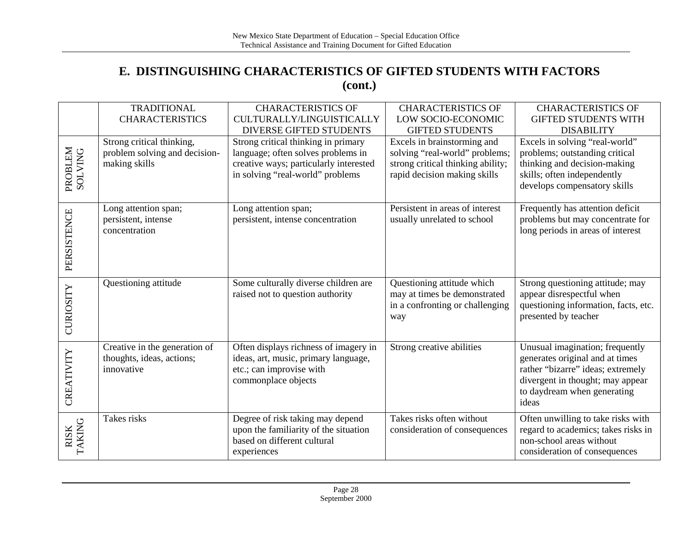## **E. DISTINGUISHING CHARACTERISTICS OF GIFTED STUDENTS WITH FACTORS (cont.)**

|                    | <b>TRADITIONAL</b><br><b>CHARACTERISTICS</b>                                | <b>CHARACTERISTICS OF</b><br>CULTURALLY/LINGUISTICALLY                                                                                                  | <b>CHARACTERISTICS OF</b><br>LOW SOCIO-ECONOMIC                                                                                    | <b>CHARACTERISTICS OF</b><br><b>GIFTED STUDENTS WITH</b>                                                                                                                            |
|--------------------|-----------------------------------------------------------------------------|---------------------------------------------------------------------------------------------------------------------------------------------------------|------------------------------------------------------------------------------------------------------------------------------------|-------------------------------------------------------------------------------------------------------------------------------------------------------------------------------------|
|                    |                                                                             | <b>DIVERSE GIFTED STUDENTS</b>                                                                                                                          | <b>GIFTED STUDENTS</b>                                                                                                             | <b>DISABILITY</b>                                                                                                                                                                   |
| PROBLEM<br>SOLVING | Strong critical thinking,<br>problem solving and decision-<br>making skills | Strong critical thinking in primary<br>language; often solves problems in<br>creative ways; particularly interested<br>in solving "real-world" problems | Excels in brainstorming and<br>solving "real-world" problems;<br>strong critical thinking ability;<br>rapid decision making skills | Excels in solving "real-world"<br>problems; outstanding critical<br>thinking and decision-making<br>skills; often independently<br>develops compensatory skills                     |
| PERSISTENCE        | Long attention span;<br>persistent, intense<br>concentration                | Long attention span;<br>persistent, intense concentration                                                                                               | Persistent in areas of interest<br>usually unrelated to school                                                                     | Frequently has attention deficit<br>problems but may concentrate for<br>long periods in areas of interest                                                                           |
| CURIOSITY          | Questioning attitude                                                        | Some culturally diverse children are<br>raised not to question authority                                                                                | Questioning attitude which<br>may at times be demonstrated<br>in a confronting or challenging<br>way                               | Strong questioning attitude; may<br>appear disrespectful when<br>questioning information, facts, etc.<br>presented by teacher                                                       |
| CREATIVITY         | Creative in the generation of<br>thoughts, ideas, actions;<br>innovative    | Often displays richness of imagery in<br>ideas, art, music, primary language,<br>etc.; can improvise with<br>commonplace objects                        | Strong creative abilities                                                                                                          | Unusual imagination; frequently<br>generates original and at times<br>rather "bizarre" ideas; extremely<br>divergent in thought; may appear<br>to daydream when generating<br>ideas |
| RISK<br>TAKING     | Takes risks                                                                 | Degree of risk taking may depend<br>upon the familiarity of the situation<br>based on different cultural<br>experiences                                 | Takes risks often without<br>consideration of consequences                                                                         | Often unwilling to take risks with<br>regard to academics; takes risks in<br>non-school areas without<br>consideration of consequences                                              |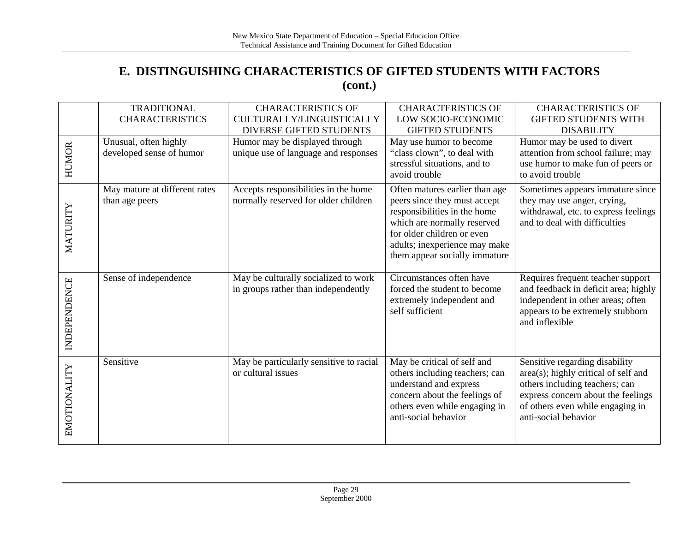### **E. DISTINGUISHING CHARACTERISTICS OF GIFTED STUDENTS WITH FACTORS (cont.)**

|              | <b>TRADITIONAL</b><br><b>CHARACTERISTICS</b>      | <b>CHARACTERISTICS OF</b><br>CULTURALLY/LINGUISTICALLY<br><b>DIVERSE GIFTED STUDENTS</b> | <b>CHARACTERISTICS OF</b><br>LOW SOCIO-ECONOMIC<br><b>GIFTED STUDENTS</b>                                                                                                                                                     | <b>CHARACTERISTICS OF</b><br><b>GIFTED STUDENTS WITH</b><br><b>DISABILITY</b>                                                                                                                              |
|--------------|---------------------------------------------------|------------------------------------------------------------------------------------------|-------------------------------------------------------------------------------------------------------------------------------------------------------------------------------------------------------------------------------|------------------------------------------------------------------------------------------------------------------------------------------------------------------------------------------------------------|
| <b>HUMOR</b> | Unusual, often highly<br>developed sense of humor | Humor may be displayed through<br>unique use of language and responses                   | May use humor to become<br>"class clown", to deal with<br>stressful situations, and to<br>avoid trouble                                                                                                                       | Humor may be used to divert<br>attention from school failure; may<br>use humor to make fun of peers or<br>to avoid trouble                                                                                 |
| MATURITY     | May mature at different rates<br>than age peers   | Accepts responsibilities in the home<br>normally reserved for older children             | Often matures earlier than age<br>peers since they must accept<br>responsibilities in the home<br>which are normally reserved<br>for older children or even<br>adults; inexperience may make<br>them appear socially immature | Sometimes appears immature since<br>they may use anger, crying,<br>withdrawal, etc. to express feelings<br>and to deal with difficulties                                                                   |
| INDEPENDENCE | Sense of independence                             | May be culturally socialized to work<br>in groups rather than independently              | Circumstances often have<br>forced the student to become<br>extremely independent and<br>self sufficient                                                                                                                      | Requires frequent teacher support<br>and feedback in deficit area; highly<br>independent in other areas; often<br>appears to be extremely stubborn<br>and inflexible                                       |
| EMOTIONALITY | Sensitive                                         | May be particularly sensitive to racial<br>or cultural issues                            | May be critical of self and<br>others including teachers; can<br>understand and express<br>concern about the feelings of<br>others even while engaging in<br>anti-social behavior                                             | Sensitive regarding disability<br>area(s); highly critical of self and<br>others including teachers; can<br>express concern about the feelings<br>of others even while engaging in<br>anti-social behavior |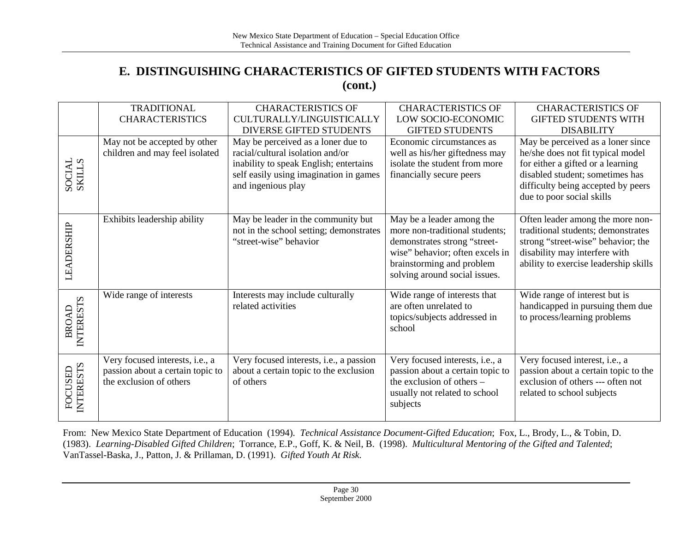## **E. DISTINGUISHING CHARACTERISTICS OF GIFTED STUDENTS WITH FACTORS (cont.)**

|                                  | <b>TRADITIONAL</b>                                                                             | <b>CHARACTERISTICS OF</b>                                                                                                                  | <b>CHARACTERISTICS OF</b>                                                                                                                                                                    | <b>CHARACTERISTICS OF</b>                                                                                                                                                              |
|----------------------------------|------------------------------------------------------------------------------------------------|--------------------------------------------------------------------------------------------------------------------------------------------|----------------------------------------------------------------------------------------------------------------------------------------------------------------------------------------------|----------------------------------------------------------------------------------------------------------------------------------------------------------------------------------------|
|                                  | <b>CHARACTERISTICS</b>                                                                         | CULTURALLY/LINGUISTICALLY                                                                                                                  | LOW SOCIO-ECONOMIC                                                                                                                                                                           | <b>GIFTED STUDENTS WITH</b>                                                                                                                                                            |
|                                  |                                                                                                | DIVERSE GIFTED STUDENTS                                                                                                                    | <b>GIFTED STUDENTS</b>                                                                                                                                                                       | <b>DISABILITY</b>                                                                                                                                                                      |
|                                  | May not be accepted by other                                                                   | May be perceived as a loner due to                                                                                                         | Economic circumstances as                                                                                                                                                                    | May be perceived as a loner since                                                                                                                                                      |
| SOCIAL<br>SKILLS                 | children and may feel isolated                                                                 | racial/cultural isolation and/or<br>inability to speak English; entertains<br>self easily using imagination in games<br>and ingenious play | well as his/her giftedness may<br>isolate the student from more<br>financially secure peers                                                                                                  | he/she does not fit typical model<br>for either a gifted or a learning<br>disabled student; sometimes has<br>difficulty being accepted by peers<br>due to poor social skills           |
| LEADERSHIP                       | Exhibits leadership ability                                                                    | May be leader in the community but<br>not in the school setting; demonstrates<br>"street-wise" behavior                                    | May be a leader among the<br>more non-traditional students;<br>demonstrates strong "street-<br>wise" behavior; often excels in<br>brainstorming and problem<br>solving around social issues. | Often leader among the more non-<br>traditional students; demonstrates<br>strong "street-wise" behavior; the<br>disability may interfere with<br>ability to exercise leadership skills |
| <b>INTERESTS</b><br><b>BROAD</b> | Wide range of interests                                                                        | Interests may include culturally<br>related activities                                                                                     | Wide range of interests that<br>are often unrelated to<br>topics/subjects addressed in<br>school                                                                                             | Wide range of interest but is<br>handicapped in pursuing them due<br>to process/learning problems                                                                                      |
| <b>INTERESTS</b><br>FOCUSED      | Very focused interests, i.e., a<br>passion about a certain topic to<br>the exclusion of others | Very focused interests, i.e., a passion<br>about a certain topic to the exclusion<br>of others                                             | Very focused interests, i.e., a<br>passion about a certain topic to<br>the exclusion of others -<br>usually not related to school<br>subjects                                                | Very focused interest, i.e., a<br>passion about a certain topic to the<br>exclusion of others --- often not<br>related to school subjects                                              |

From: New Mexico State Department of Education (1994). *Technical Assistance Document-Gifted Education*; Fox, L., Brody, L., & Tobin, D. (1983). *Learning-Disabled Gifted Children*; Torrance, E.P., Goff, K. & Neil, B. (1998). *Multicultural Mentoring of the Gifted and Talented*; VanTassel-Baska, J., Patton, J. & Prillaman, D. (1991). *Gifted Youth At Risk.*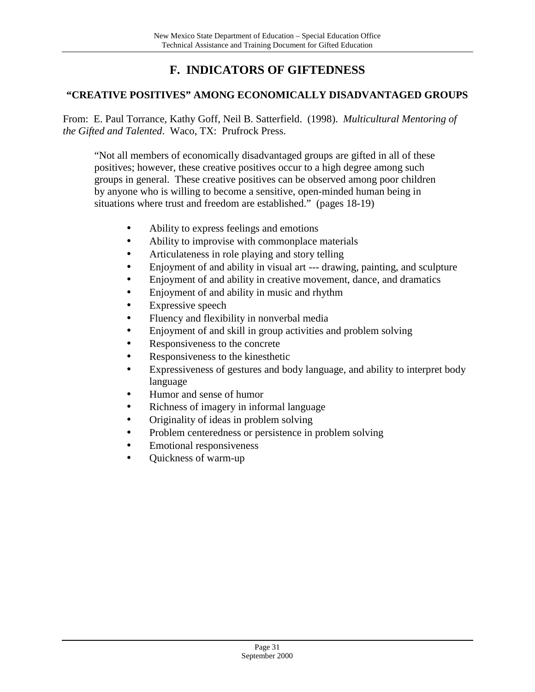## **F. INDICATORS OF GIFTEDNESS**

#### **"CREATIVE POSITIVES" AMONG ECONOMICALLY DISADVANTAGED GROUPS**

From: E. Paul Torrance, Kathy Goff, Neil B. Satterfield. (1998). *Multicultural Mentoring of the Gifted and Talented*. Waco, TX: Prufrock Press.

"Not all members of economically disadvantaged groups are gifted in all of these positives; however, these creative positives occur to a high degree among such groups in general. These creative positives can be observed among poor children by anyone who is willing to become a sensitive, open-minded human being in situations where trust and freedom are established." (pages 18-19)

- Ability to express feelings and emotions
- Ability to improvise with commonplace materials
- Articulateness in role playing and story telling
- Enjoyment of and ability in visual art --- drawing, painting, and sculpture
- Enjoyment of and ability in creative movement, dance, and dramatics
- Enjoyment of and ability in music and rhythm
- Expressive speech
- Fluency and flexibility in nonverbal media
- Enjoyment of and skill in group activities and problem solving
- Responsiveness to the concrete
- Responsiveness to the kinesthetic
- Expressiveness of gestures and body language, and ability to interpret body language
- Humor and sense of humor
- Richness of imagery in informal language
- Originality of ideas in problem solving
- Problem centeredness or persistence in problem solving
- Emotional responsiveness
- Quickness of warm-up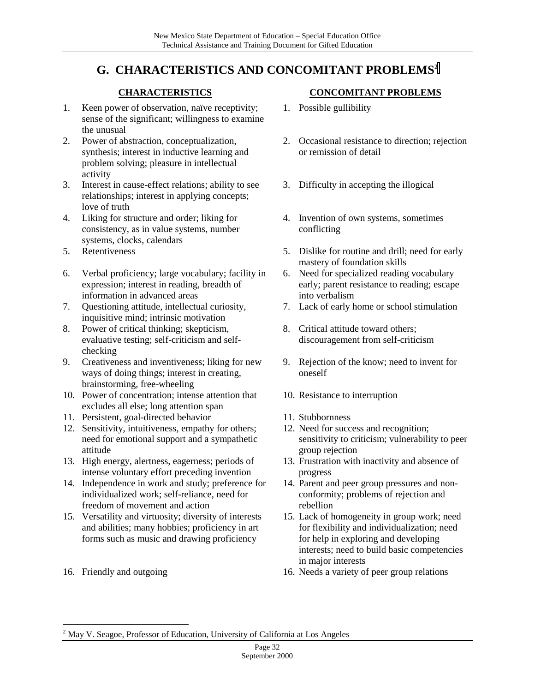## **G. CHARACTERISTICS AND CONCOMITANT PROBLEMS2**

#### **CHARACTERISTICS**

- 1. Keen power of observation, naïve receptivity; sense of the significant; willingness to examine the unusual
- 2. Power of abstraction, conceptualization, synthesis; interest in inductive learning and problem solving; pleasure in intellectual activity
- 3. Interest in cause-effect relations; ability to see relationships; interest in applying concepts; love of truth
- 4. Liking for structure and order; liking for consistency, as in value systems, number systems, clocks, calendars
- 5. Retentiveness
- 6. Verbal proficiency; large vocabulary; facility in expression; interest in reading, breadth of information in advanced areas
- 7. Questioning attitude, intellectual curiosity, inquisitive mind; intrinsic motivation
- 8. Power of critical thinking; skepticism, evaluative testing; self-criticism and selfchecking
- 9. Creativeness and inventiveness; liking for new ways of doing things; interest in creating, brainstorming, free-wheeling
- 10. Power of concentration; intense attention that excludes all else; long attention span
- 11. Persistent, goal-directed behavior
- 12. Sensitivity, intuitiveness, empathy for others; need for emotional support and a sympathetic attitude
- 13. High energy, alertness, eagerness; periods of intense voluntary effort preceding invention
- 14. Independence in work and study; preference for individualized work; self-reliance, need for freedom of movement and action
- 15. Versatility and virtuosity; diversity of interests and abilities; many hobbies; proficiency in art forms such as music and drawing proficiency
- 16. Friendly and outgoing

 $\overline{a}$ 

#### **CONCOMITANT PROBLEMS**

- 1. Possible gullibility
- 2. Occasional resistance to direction; rejection or remission of detail
- 3. Difficulty in accepting the illogical
- 4. Invention of own systems, sometimes conflicting
- 5. Dislike for routine and drill; need for early mastery of foundation skills
- 6. Need for specialized reading vocabulary early; parent resistance to reading; escape into verbalism
- 7. Lack of early home or school stimulation
- 8. Critical attitude toward others; discouragement from self-criticism
- 9. Rejection of the know; need to invent for oneself
- 10. Resistance to interruption
- 11. Stubbornness
- 12. Need for success and recognition; sensitivity to criticism; vulnerability to peer group rejection
- 13. Frustration with inactivity and absence of progress
- 14. Parent and peer group pressures and nonconformity; problems of rejection and rebellion
- 15. Lack of homogeneity in group work; need for flexibility and individualization; need for help in exploring and developing interests; need to build basic competencies in major interests
- 16. Needs a variety of peer group relations

 $2^{2}$  May V. Seagoe, Professor of Education, University of California at Los Angeles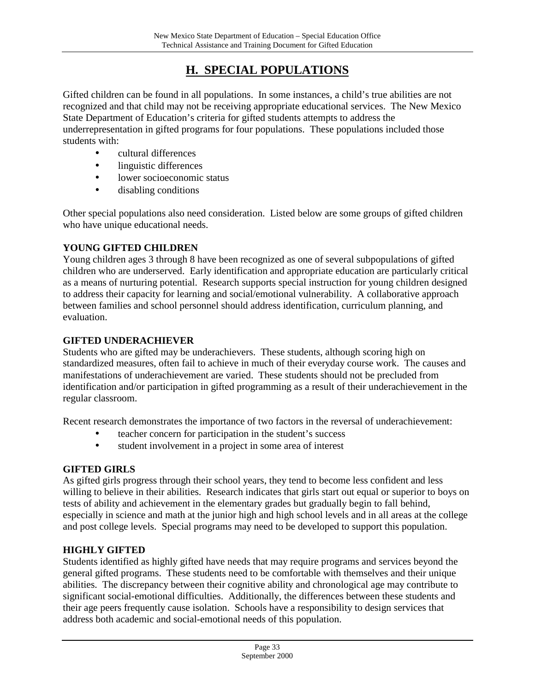## **H. SPECIAL POPULATIONS**

Gifted children can be found in all populations. In some instances, a child's true abilities are not recognized and that child may not be receiving appropriate educational services. The New Mexico State Department of Education's criteria for gifted students attempts to address the underrepresentation in gifted programs for four populations. These populations included those students with:

- cultural differences
- linguistic differences
- lower socioeconomic status
- disabling conditions

Other special populations also need consideration. Listed below are some groups of gifted children who have unique educational needs.

#### **YOUNG GIFTED CHILDREN**

Young children ages 3 through 8 have been recognized as one of several subpopulations of gifted children who are underserved. Early identification and appropriate education are particularly critical as a means of nurturing potential. Research supports special instruction for young children designed to address their capacity for learning and social/emotional vulnerability. A collaborative approach between families and school personnel should address identification, curriculum planning, and evaluation.

#### **GIFTED UNDERACHIEVER**

Students who are gifted may be underachievers. These students, although scoring high on standardized measures, often fail to achieve in much of their everyday course work. The causes and manifestations of underachievement are varied. These students should not be precluded from identification and/or participation in gifted programming as a result of their underachievement in the regular classroom.

Recent research demonstrates the importance of two factors in the reversal of underachievement:

- teacher concern for participation in the student's success
- student involvement in a project in some area of interest

#### **GIFTED GIRLS**

As gifted girls progress through their school years, they tend to become less confident and less willing to believe in their abilities. Research indicates that girls start out equal or superior to boys on tests of ability and achievement in the elementary grades but gradually begin to fall behind, especially in science and math at the junior high and high school levels and in all areas at the college and post college levels. Special programs may need to be developed to support this population.

#### **HIGHLY GIFTED**

Students identified as highly gifted have needs that may require programs and services beyond the general gifted programs. These students need to be comfortable with themselves and their unique abilities. The discrepancy between their cognitive ability and chronological age may contribute to significant social-emotional difficulties. Additionally, the differences between these students and their age peers frequently cause isolation. Schools have a responsibility to design services that address both academic and social-emotional needs of this population.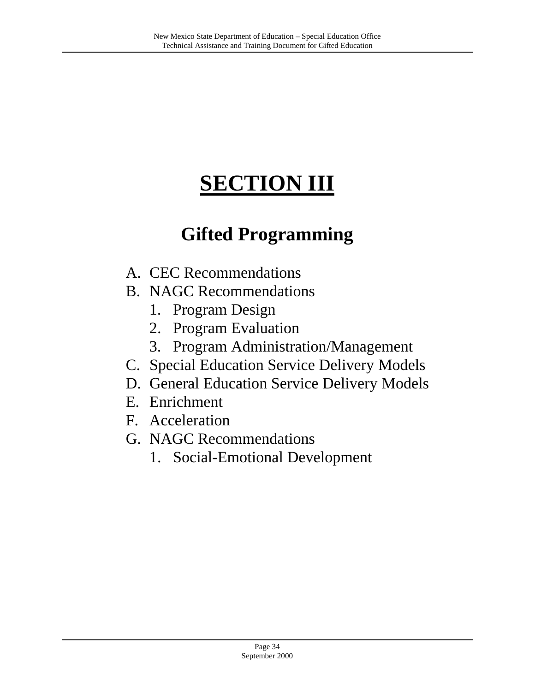# **SECTION III**

## **Gifted Programming**

- A. CEC Recommendations
- B. NAGC Recommendations
	- 1. Program Design
	- 2. Program Evaluation
	- 3. Program Administration/Management
- C. Special Education Service Delivery Models
- D. General Education Service Delivery Models
- E. Enrichment
- F. Acceleration
- G. NAGC Recommendations
	- 1. Social-Emotional Development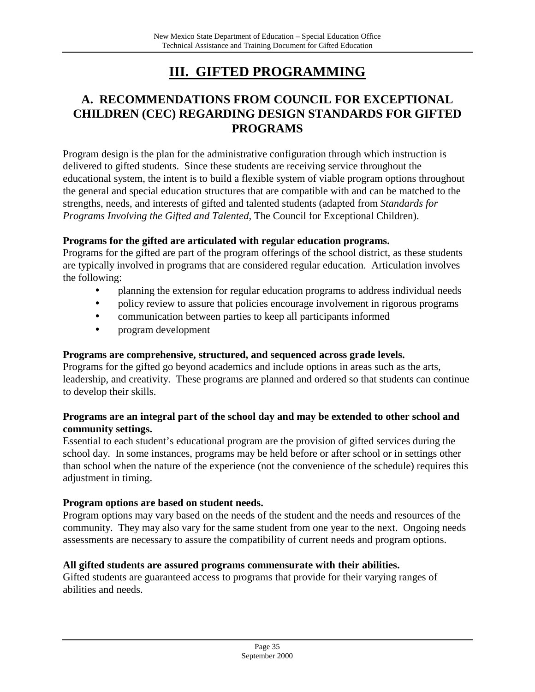## **III. GIFTED PROGRAMMING**

## **A. RECOMMENDATIONS FROM COUNCIL FOR EXCEPTIONAL CHILDREN (CEC) REGARDING DESIGN STANDARDS FOR GIFTED PROGRAMS**

Program design is the plan for the administrative configuration through which instruction is delivered to gifted students. Since these students are receiving service throughout the educational system, the intent is to build a flexible system of viable program options throughout the general and special education structures that are compatible with and can be matched to the strengths, needs, and interests of gifted and talented students (adapted from *Standards for Programs Involving the Gifted and Talented,* The Council for Exceptional Children).

#### **Programs for the gifted are articulated with regular education programs.**

Programs for the gifted are part of the program offerings of the school district, as these students are typically involved in programs that are considered regular education. Articulation involves the following:

- planning the extension for regular education programs to address individual needs
- policy review to assure that policies encourage involvement in rigorous programs
- communication between parties to keep all participants informed
- program development

#### **Programs are comprehensive, structured, and sequenced across grade levels.**

Programs for the gifted go beyond academics and include options in areas such as the arts, leadership, and creativity. These programs are planned and ordered so that students can continue to develop their skills.

#### **Programs are an integral part of the school day and may be extended to other school and community settings.**

Essential to each student's educational program are the provision of gifted services during the school day. In some instances, programs may be held before or after school or in settings other than school when the nature of the experience (not the convenience of the schedule) requires this adjustment in timing.

#### **Program options are based on student needs.**

Program options may vary based on the needs of the student and the needs and resources of the community. They may also vary for the same student from one year to the next. Ongoing needs assessments are necessary to assure the compatibility of current needs and program options.

#### **All gifted students are assured programs commensurate with their abilities.**

Gifted students are guaranteed access to programs that provide for their varying ranges of abilities and needs.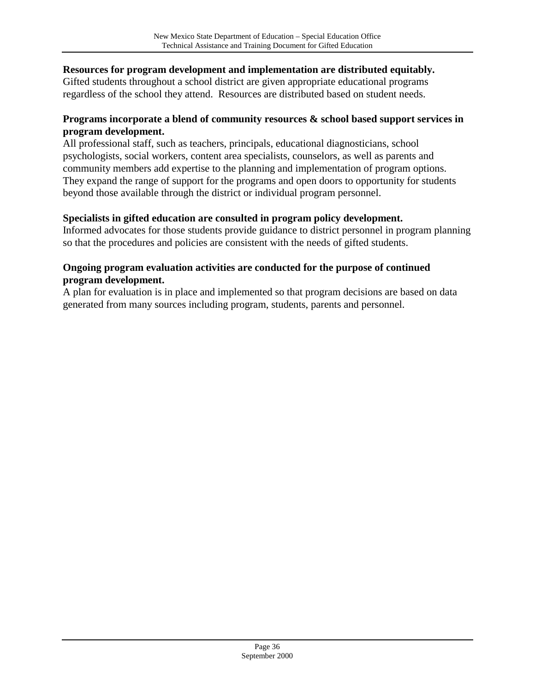#### **Resources for program development and implementation are distributed equitably.**

Gifted students throughout a school district are given appropriate educational programs regardless of the school they attend. Resources are distributed based on student needs.

#### **Programs incorporate a blend of community resources & school based support services in program development.**

All professional staff, such as teachers, principals, educational diagnosticians, school psychologists, social workers, content area specialists, counselors, as well as parents and community members add expertise to the planning and implementation of program options. They expand the range of support for the programs and open doors to opportunity for students beyond those available through the district or individual program personnel.

#### **Specialists in gifted education are consulted in program policy development.**

Informed advocates for those students provide guidance to district personnel in program planning so that the procedures and policies are consistent with the needs of gifted students.

#### **Ongoing program evaluation activities are conducted for the purpose of continued program development.**

A plan for evaluation is in place and implemented so that program decisions are based on data generated from many sources including program, students, parents and personnel.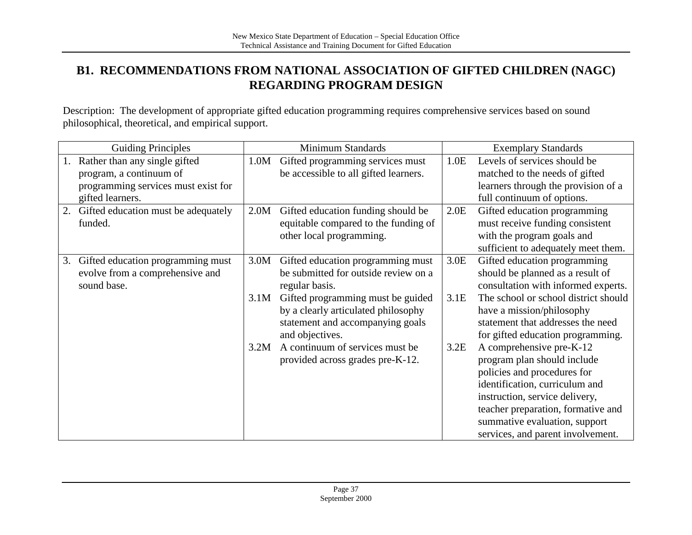## **B1. RECOMMENDATIONS FROM NATIONAL ASSOCIATION OF GIFTED CHILDREN (NAGC) REGARDING PROGRAM DESIGN**

Description: The development of appropriate gifted education programming requires comprehensive services based on sound philosophical, theoretical, and empirical support.

|    | <b>Guiding Principles</b>           |      | <b>Minimum Standards</b>              |      | <b>Exemplary Standards</b>           |
|----|-------------------------------------|------|---------------------------------------|------|--------------------------------------|
|    | Rather than any single gifted       | 1.0M | Gifted programming services must      | 1.0E | Levels of services should be         |
|    | program, a continuum of             |      | be accessible to all gifted learners. |      | matched to the needs of gifted       |
|    | programming services must exist for |      |                                       |      | learners through the provision of a  |
|    | gifted learners.                    |      |                                       |      | full continuum of options.           |
| 2. | Gifted education must be adequately | 2.0M | Gifted education funding should be    | 2.0E | Gifted education programming         |
|    | funded.                             |      | equitable compared to the funding of  |      | must receive funding consistent      |
|    |                                     |      | other local programming.              |      | with the program goals and           |
|    |                                     |      |                                       |      | sufficient to adequately meet them.  |
| 3. | Gifted education programming must   | 3.0M | Gifted education programming must     | 3.0E | Gifted education programming         |
|    | evolve from a comprehensive and     |      | be submitted for outside review on a  |      | should be planned as a result of     |
|    | sound base.                         |      | regular basis.                        |      | consultation with informed experts.  |
|    |                                     | 3.1M | Gifted programming must be guided     | 3.1E | The school or school district should |
|    |                                     |      | by a clearly articulated philosophy   |      | have a mission/philosophy            |
|    |                                     |      | statement and accompanying goals      |      | statement that addresses the need    |
|    |                                     |      | and objectives.                       |      | for gifted education programming.    |
|    |                                     | 3.2M | A continuum of services must be       | 3.2E | A comprehensive pre-K-12             |
|    |                                     |      | provided across grades pre-K-12.      |      | program plan should include          |
|    |                                     |      |                                       |      | policies and procedures for          |
|    |                                     |      |                                       |      | identification, curriculum and       |
|    |                                     |      |                                       |      | instruction, service delivery,       |
|    |                                     |      |                                       |      | teacher preparation, formative and   |
|    |                                     |      |                                       |      | summative evaluation, support        |
|    |                                     |      |                                       |      | services, and parent involvement.    |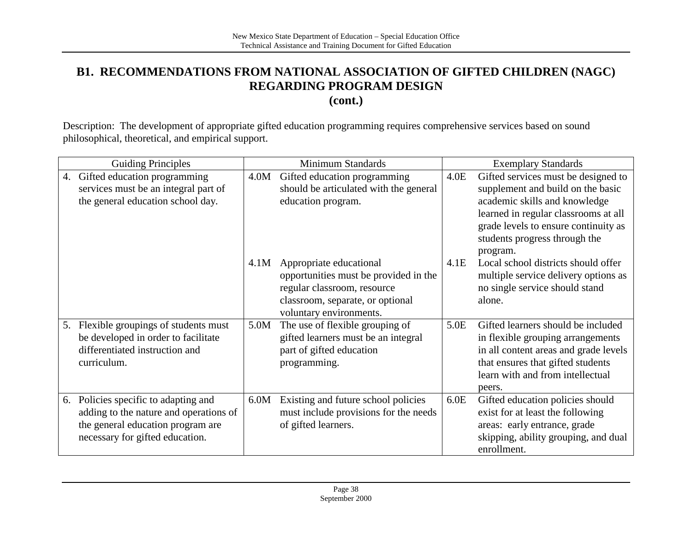## **B1. RECOMMENDATIONS FROM NATIONAL ASSOCIATION OF GIFTED CHILDREN (NAGC) REGARDING PROGRAM DESIGN**

**(cont.)**

Description: The development of appropriate gifted education programming requires comprehensive services based on sound philosophical, theoretical, and empirical support.

|    | <b>Guiding Principles</b>                                                                                                                           |      | <b>Minimum Standards</b>                                                                                                                                       |      | <b>Exemplary Standards</b>                                                                                                                                                                          |
|----|-----------------------------------------------------------------------------------------------------------------------------------------------------|------|----------------------------------------------------------------------------------------------------------------------------------------------------------------|------|-----------------------------------------------------------------------------------------------------------------------------------------------------------------------------------------------------|
| 4. | Gifted education programming<br>services must be an integral part of                                                                                | 4.0M | Gifted education programming<br>should be articulated with the general                                                                                         | 4.0E | Gifted services must be designed to<br>supplement and build on the basic                                                                                                                            |
|    | the general education school day.                                                                                                                   |      | education program.                                                                                                                                             |      | academic skills and knowledge<br>learned in regular classrooms at all<br>grade levels to ensure continuity as<br>students progress through the<br>program.                                          |
|    |                                                                                                                                                     | 4.1M | Appropriate educational<br>opportunities must be provided in the<br>regular classroom, resource<br>classroom, separate, or optional<br>voluntary environments. | 4.1E | Local school districts should offer<br>multiple service delivery options as<br>no single service should stand<br>alone.                                                                             |
| 5. | Flexible groupings of students must<br>be developed in order to facilitate<br>differentiated instruction and<br>curriculum.                         | 5.0M | The use of flexible grouping of<br>gifted learners must be an integral<br>part of gifted education<br>programming.                                             | 5.0E | Gifted learners should be included<br>in flexible grouping arrangements<br>in all content areas and grade levels<br>that ensures that gifted students<br>learn with and from intellectual<br>peers. |
| 6. | Policies specific to adapting and<br>adding to the nature and operations of<br>the general education program are<br>necessary for gifted education. | 6.0M | Existing and future school policies<br>must include provisions for the needs<br>of gifted learners.                                                            | 6.0E | Gifted education policies should<br>exist for at least the following<br>areas: early entrance, grade<br>skipping, ability grouping, and dual<br>enrollment.                                         |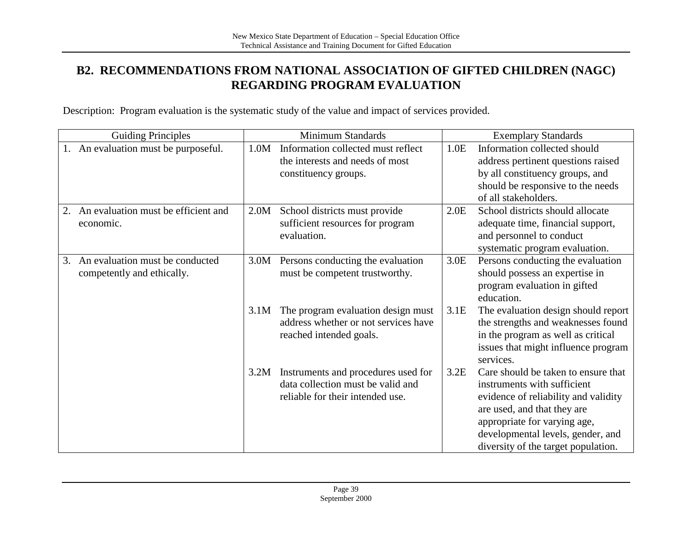## **B2. RECOMMENDATIONS FROM NATIONAL ASSOCIATION OF GIFTED CHILDREN (NAGC) REGARDING PROGRAM EVALUATION**

Description: Program evaluation is the systematic study of the value and impact of services provided.

| <b>Guiding Principles</b>                                           |      | Minimum Standards                                                                                            |      | <b>Exemplary Standards</b>                                                                                                                                                                                                                            |  |
|---------------------------------------------------------------------|------|--------------------------------------------------------------------------------------------------------------|------|-------------------------------------------------------------------------------------------------------------------------------------------------------------------------------------------------------------------------------------------------------|--|
| 1. An evaluation must be purposeful.                                | 1.0M | Information collected must reflect<br>the interests and needs of most<br>constituency groups.                | 1.0E | Information collected should<br>address pertinent questions raised<br>by all constituency groups, and<br>should be responsive to the needs<br>of all stakeholders.                                                                                    |  |
| An evaluation must be efficient and<br>economic.                    | 2.0M | School districts must provide<br>sufficient resources for program<br>evaluation.                             | 2.0E | School districts should allocate<br>adequate time, financial support,<br>and personnel to conduct<br>systematic program evaluation.                                                                                                                   |  |
| An evaluation must be conducted<br>3.<br>competently and ethically. | 3.0M | Persons conducting the evaluation<br>must be competent trustworthy.                                          | 3.0E | Persons conducting the evaluation<br>should possess an expertise in<br>program evaluation in gifted<br>education.                                                                                                                                     |  |
|                                                                     | 3.1M | The program evaluation design must<br>address whether or not services have<br>reached intended goals.        | 3.1E | The evaluation design should report<br>the strengths and weaknesses found<br>in the program as well as critical<br>issues that might influence program<br>services.                                                                                   |  |
|                                                                     | 3.2M | Instruments and procedures used for<br>data collection must be valid and<br>reliable for their intended use. | 3.2E | Care should be taken to ensure that<br>instruments with sufficient<br>evidence of reliability and validity<br>are used, and that they are<br>appropriate for varying age,<br>developmental levels, gender, and<br>diversity of the target population. |  |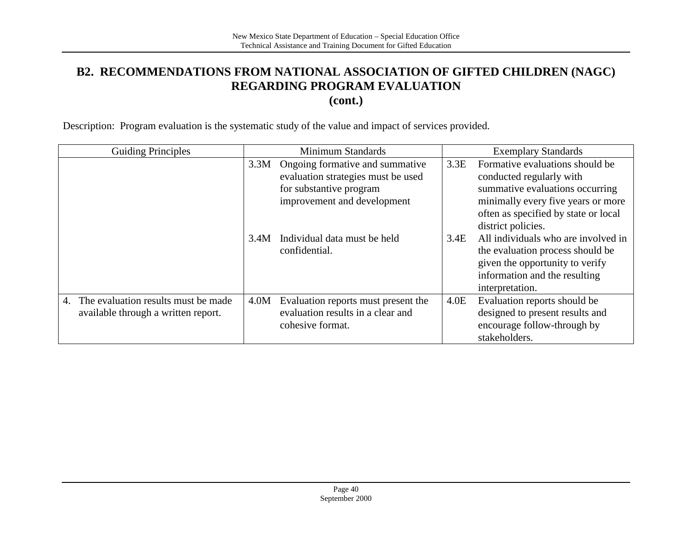## **B2. RECOMMENDATIONS FROM NATIONAL ASSOCIATION OF GIFTED CHILDREN (NAGC) REGARDING PROGRAM EVALUATION**

**(cont.)**

Description: Program evaluation is the systematic study of the value and impact of services provided.

| <b>Guiding Principles</b>                 |      |                  | Minimum Standards                   |      | <b>Exemplary Standards</b>           |
|-------------------------------------------|------|------------------|-------------------------------------|------|--------------------------------------|
|                                           | 3.3M |                  | Ongoing formative and summative     | 3.3E | Formative evaluations should be      |
|                                           |      |                  | evaluation strategies must be used  |      | conducted regularly with             |
|                                           |      |                  | for substantive program             |      | summative evaluations occurring      |
|                                           |      |                  | improvement and development         |      | minimally every five years or more   |
|                                           |      |                  |                                     |      | often as specified by state or local |
|                                           |      |                  |                                     |      | district policies.                   |
|                                           | 3.4M |                  | Individual data must be held        | 3.4E | All individuals who are involved in  |
|                                           |      | confidential.    |                                     |      | the evaluation process should be     |
|                                           |      |                  |                                     |      | given the opportunity to verify      |
|                                           |      |                  |                                     |      | information and the resulting        |
|                                           |      |                  |                                     |      | interpretation.                      |
| The evaluation results must be made<br>4. | 4.0M |                  | Evaluation reports must present the | 4.0E | Evaluation reports should be         |
| available through a written report.       |      |                  | evaluation results in a clear and   |      | designed to present results and      |
|                                           |      | cohesive format. |                                     |      | encourage follow-through by          |
|                                           |      |                  |                                     |      | stakeholders.                        |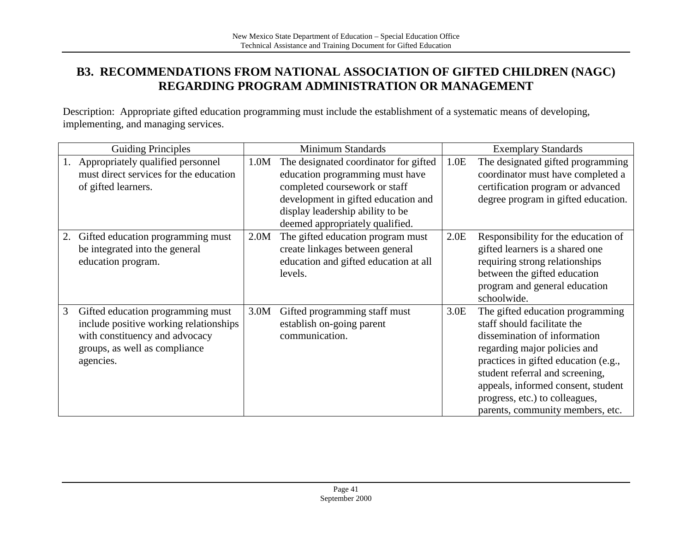## **B3. RECOMMENDATIONS FROM NATIONAL ASSOCIATION OF GIFTED CHILDREN (NAGC) REGARDING PROGRAM ADMINISTRATION OR MANAGEMENT**

Description: Appropriate gifted education programming must include the establishment of a systematic means of developing, implementing, and managing services.

| <b>Guiding Principles</b> |                                                                                                                                                             | <b>Minimum Standards</b> |                                                                                                                                                                                                                         |      | <b>Exemplary Standards</b>                                                                                                                                                                                                                                                                                             |
|---------------------------|-------------------------------------------------------------------------------------------------------------------------------------------------------------|--------------------------|-------------------------------------------------------------------------------------------------------------------------------------------------------------------------------------------------------------------------|------|------------------------------------------------------------------------------------------------------------------------------------------------------------------------------------------------------------------------------------------------------------------------------------------------------------------------|
|                           | Appropriately qualified personnel<br>must direct services for the education<br>of gifted learners.                                                          | 1.0M                     | The designated coordinator for gifted<br>education programming must have<br>completed coursework or staff<br>development in gifted education and<br>display leadership ability to be<br>deemed appropriately qualified. | 1.0E | The designated gifted programming<br>coordinator must have completed a<br>certification program or advanced<br>degree program in gifted education.                                                                                                                                                                     |
|                           | Gifted education programming must<br>be integrated into the general<br>education program.                                                                   | 2.0M                     | The gifted education program must<br>create linkages between general<br>education and gifted education at all<br>levels.                                                                                                | 2.0E | Responsibility for the education of<br>gifted learners is a shared one<br>requiring strong relationships<br>between the gifted education<br>program and general education<br>schoolwide.                                                                                                                               |
| 3                         | Gifted education programming must<br>include positive working relationships<br>with constituency and advocacy<br>groups, as well as compliance<br>agencies. | 3.0M                     | Gifted programming staff must<br>establish on-going parent<br>communication.                                                                                                                                            | 3.0E | The gifted education programming<br>staff should facilitate the<br>dissemination of information<br>regarding major policies and<br>practices in gifted education (e.g.,<br>student referral and screening,<br>appeals, informed consent, student<br>progress, etc.) to colleagues,<br>parents, community members, etc. |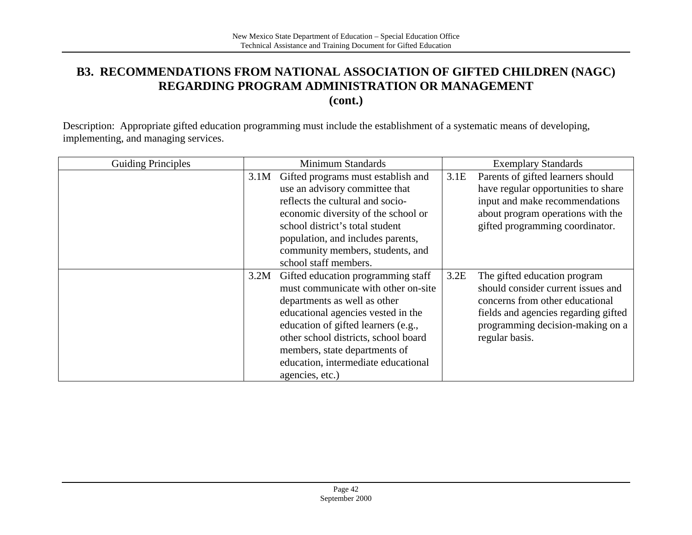### **B3. RECOMMENDATIONS FROM NATIONAL ASSOCIATION OF GIFTED CHILDREN (NAGC) REGARDING PROGRAM ADMINISTRATION OR MANAGEMENT (cont.)**

Description: Appropriate gifted education programming must include the establishment of a systematic means of developing, implementing, and managing services.

| <b>Guiding Principles</b> |      | Minimum Standards                    |      | <b>Exemplary Standards</b>           |
|---------------------------|------|--------------------------------------|------|--------------------------------------|
|                           | 3.1M | Gifted programs must establish and   | 3.1E | Parents of gifted learners should    |
|                           |      | use an advisory committee that       |      | have regular opportunities to share  |
|                           |      | reflects the cultural and socio-     |      | input and make recommendations       |
|                           |      | economic diversity of the school or  |      | about program operations with the    |
|                           |      | school district's total student      |      | gifted programming coordinator.      |
|                           |      | population, and includes parents,    |      |                                      |
|                           |      | community members, students, and     |      |                                      |
|                           |      | school staff members.                |      |                                      |
|                           | 3.2M | Gifted education programming staff   | 3.2E | The gifted education program         |
|                           |      | must communicate with other on-site  |      | should consider current issues and   |
|                           |      | departments as well as other         |      | concerns from other educational      |
|                           |      | educational agencies vested in the   |      | fields and agencies regarding gifted |
|                           |      | education of gifted learners (e.g.,  |      | programming decision-making on a     |
|                           |      | other school districts, school board |      | regular basis.                       |
|                           |      | members, state departments of        |      |                                      |
|                           |      | education, intermediate educational  |      |                                      |
|                           |      | agencies, etc.)                      |      |                                      |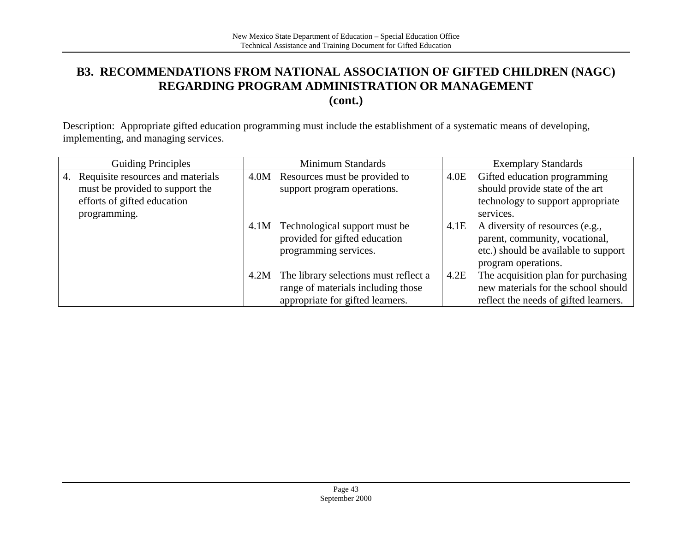## **B3. RECOMMENDATIONS FROM NATIONAL ASSOCIATION OF GIFTED CHILDREN (NAGC) REGARDING PROGRAM ADMINISTRATION OR MANAGEMENT**

**(cont.)**

Description: Appropriate gifted education programming must include the establishment of a systematic means of developing, implementing, and managing services.

| <b>Guiding Principles</b>               |      | Minimum Standards                     |      | <b>Exemplary Standards</b>            |
|-----------------------------------------|------|---------------------------------------|------|---------------------------------------|
| Requisite resources and materials<br>4. | 4.0M | Resources must be provided to         | 4.0E | Gifted education programming          |
| must be provided to support the         |      | support program operations.           |      | should provide state of the art       |
| efforts of gifted education             |      |                                       |      | technology to support appropriate     |
| programming.                            |      |                                       |      | services.                             |
|                                         | 4.1M | Technological support must be         | 4.1E | A diversity of resources (e.g.,       |
|                                         |      | provided for gifted education         |      | parent, community, vocational,        |
|                                         |      | programming services.                 |      | etc.) should be available to support  |
|                                         |      |                                       |      | program operations.                   |
|                                         | 4.2M | The library selections must reflect a | 4.2E | The acquisition plan for purchasing   |
|                                         |      | range of materials including those    |      | new materials for the school should   |
|                                         |      | appropriate for gifted learners.      |      | reflect the needs of gifted learners. |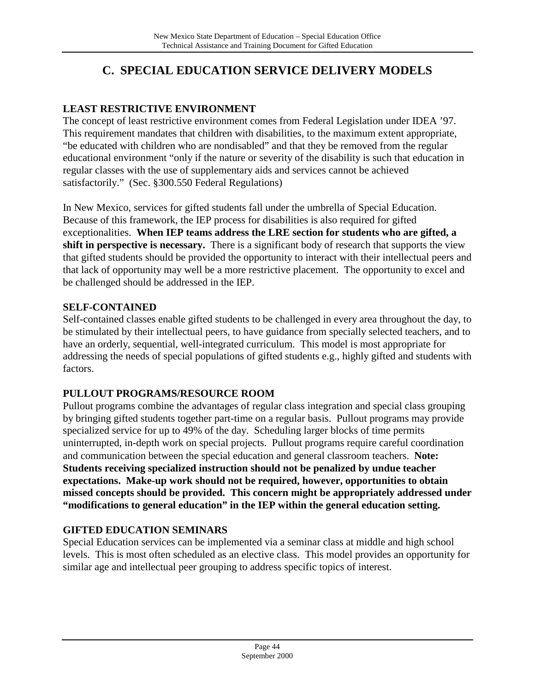## **C. SPECIAL EDUCATION SERVICE DELIVERY MODELS**

### **LEAST RESTRICTIVE ENVIRONMENT**

The concept of least restrictive environment comes from Federal Legislation under IDEA '97. This requirement mandates that children with disabilities, to the maximum extent appropriate, "be educated with children who are nondisabled" and that they be removed from the regular educational environment "only if the nature or severity of the disability is such that education in regular classes with the use of supplementary aids and services cannot be achieved satisfactorily." (Sec. §300.550 Federal Regulations)

In New Mexico, services for gifted students fall under the umbrella of Special Education. Because of this framework, the IEP process for disabilities is also required for gifted exceptionalities. **When IEP teams address the LRE section for students who are gifted, a shift in perspective is necessary.** There is a significant body of research that supports the view that gifted students should be provided the opportunity to interact with their intellectual peers and that lack of opportunity may well be a more restrictive placement. The opportunity to excel and be challenged should be addressed in the IEP.

#### **SELF-CONTAINED**

Self-contained classes enable gifted students to be challenged in every area throughout the day, to be stimulated by their intellectual peers, to have guidance from specially selected teachers, and to have an orderly, sequential, well-integrated curriculum. This model is most appropriate for addressing the needs of special populations of gifted students e.g., highly gifted and students with factors.

#### **PULLOUT PROGRAMS/RESOURCE ROOM**

Pullout programs combine the advantages of regular class integration and special class grouping by bringing gifted students together part-time on a regular basis. Pullout programs may provide specialized service for up to 49% of the day. Scheduling larger blocks of time permits uninterrupted, in-depth work on special projects. Pullout programs require careful coordination and communication between the special education and general classroom teachers. **Note: Students receiving specialized instruction should not be penalized by undue teacher expectations. Make-up work should not be required, however, opportunities to obtain missed concepts should be provided. This concern might be appropriately addressed under "modifications to general education" in the IEP within the general education setting.**

#### **GIFTED EDUCATION SEMINARS**

Special Education services can be implemented via a seminar class at middle and high school levels. This is most often scheduled as an elective class. This model provides an opportunity for similar age and intellectual peer grouping to address specific topics of interest.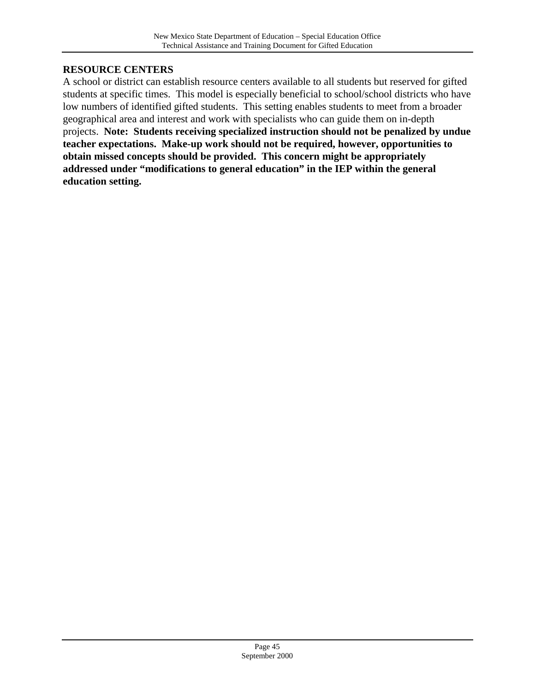#### **RESOURCE CENTERS**

A school or district can establish resource centers available to all students but reserved for gifted students at specific times. This model is especially beneficial to school/school districts who have low numbers of identified gifted students. This setting enables students to meet from a broader geographical area and interest and work with specialists who can guide them on in-depth projects. **Note: Students receiving specialized instruction should not be penalized by undue teacher expectations. Make-up work should not be required, however, opportunities to obtain missed concepts should be provided. This concern might be appropriately addressed under "modifications to general education" in the IEP within the general education setting.**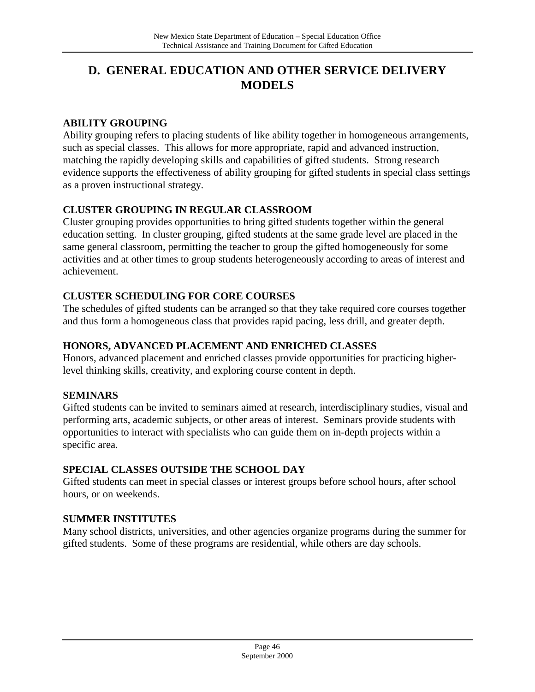## **D. GENERAL EDUCATION AND OTHER SERVICE DELIVERY MODELS**

#### **ABILITY GROUPING**

Ability grouping refers to placing students of like ability together in homogeneous arrangements, such as special classes. This allows for more appropriate, rapid and advanced instruction, matching the rapidly developing skills and capabilities of gifted students. Strong research evidence supports the effectiveness of ability grouping for gifted students in special class settings as a proven instructional strategy.

#### **CLUSTER GROUPING IN REGULAR CLASSROOM**

Cluster grouping provides opportunities to bring gifted students together within the general education setting. In cluster grouping, gifted students at the same grade level are placed in the same general classroom, permitting the teacher to group the gifted homogeneously for some activities and at other times to group students heterogeneously according to areas of interest and achievement.

#### **CLUSTER SCHEDULING FOR CORE COURSES**

The schedules of gifted students can be arranged so that they take required core courses together and thus form a homogeneous class that provides rapid pacing, less drill, and greater depth.

#### **HONORS, ADVANCED PLACEMENT AND ENRICHED CLASSES**

Honors, advanced placement and enriched classes provide opportunities for practicing higherlevel thinking skills, creativity, and exploring course content in depth.

#### **SEMINARS**

Gifted students can be invited to seminars aimed at research, interdisciplinary studies, visual and performing arts, academic subjects, or other areas of interest. Seminars provide students with opportunities to interact with specialists who can guide them on in-depth projects within a specific area.

#### **SPECIAL CLASSES OUTSIDE THE SCHOOL DAY**

Gifted students can meet in special classes or interest groups before school hours, after school hours, or on weekends.

#### **SUMMER INSTITUTES**

Many school districts, universities, and other agencies organize programs during the summer for gifted students. Some of these programs are residential, while others are day schools.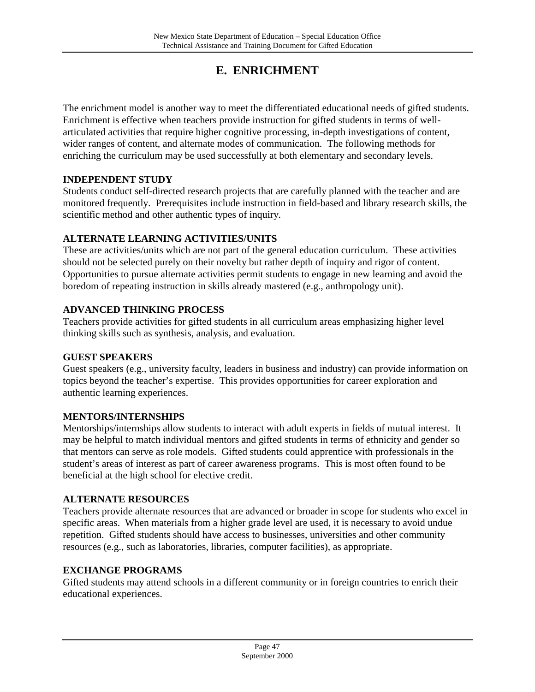## **E. ENRICHMENT**

The enrichment model is another way to meet the differentiated educational needs of gifted students. Enrichment is effective when teachers provide instruction for gifted students in terms of wellarticulated activities that require higher cognitive processing, in-depth investigations of content, wider ranges of content, and alternate modes of communication. The following methods for enriching the curriculum may be used successfully at both elementary and secondary levels.

#### **INDEPENDENT STUDY**

Students conduct self-directed research projects that are carefully planned with the teacher and are monitored frequently. Prerequisites include instruction in field-based and library research skills, the scientific method and other authentic types of inquiry.

#### **ALTERNATE LEARNING ACTIVITIES/UNITS**

These are activities/units which are not part of the general education curriculum. These activities should not be selected purely on their novelty but rather depth of inquiry and rigor of content. Opportunities to pursue alternate activities permit students to engage in new learning and avoid the boredom of repeating instruction in skills already mastered (e.g., anthropology unit).

#### **ADVANCED THINKING PROCESS**

Teachers provide activities for gifted students in all curriculum areas emphasizing higher level thinking skills such as synthesis, analysis, and evaluation.

#### **GUEST SPEAKERS**

Guest speakers (e.g., university faculty, leaders in business and industry) can provide information on topics beyond the teacher's expertise. This provides opportunities for career exploration and authentic learning experiences.

#### **MENTORS/INTERNSHIPS**

Mentorships/internships allow students to interact with adult experts in fields of mutual interest. It may be helpful to match individual mentors and gifted students in terms of ethnicity and gender so that mentors can serve as role models. Gifted students could apprentice with professionals in the student's areas of interest as part of career awareness programs. This is most often found to be beneficial at the high school for elective credit.

#### **ALTERNATE RESOURCES**

Teachers provide alternate resources that are advanced or broader in scope for students who excel in specific areas. When materials from a higher grade level are used, it is necessary to avoid undue repetition. Gifted students should have access to businesses, universities and other community resources (e.g., such as laboratories, libraries, computer facilities), as appropriate.

#### **EXCHANGE PROGRAMS**

Gifted students may attend schools in a different community or in foreign countries to enrich their educational experiences.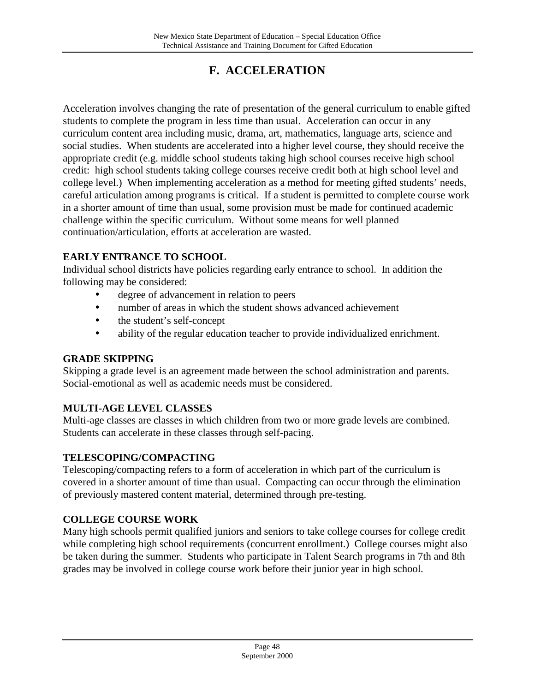## **F. ACCELERATION**

Acceleration involves changing the rate of presentation of the general curriculum to enable gifted students to complete the program in less time than usual. Acceleration can occur in any curriculum content area including music, drama, art, mathematics, language arts, science and social studies. When students are accelerated into a higher level course, they should receive the appropriate credit (e.g. middle school students taking high school courses receive high school credit: high school students taking college courses receive credit both at high school level and college level.) When implementing acceleration as a method for meeting gifted students' needs, careful articulation among programs is critical. If a student is permitted to complete course work in a shorter amount of time than usual, some provision must be made for continued academic challenge within the specific curriculum. Without some means for well planned continuation/articulation, efforts at acceleration are wasted.

#### **EARLY ENTRANCE TO SCHOOL**

Individual school districts have policies regarding early entrance to school. In addition the following may be considered:

- degree of advancement in relation to peers
- number of areas in which the student shows advanced achievement
- the student's self-concept
- ability of the regular education teacher to provide individualized enrichment.

#### **GRADE SKIPPING**

Skipping a grade level is an agreement made between the school administration and parents. Social-emotional as well as academic needs must be considered.

#### **MULTI-AGE LEVEL CLASSES**

Multi-age classes are classes in which children from two or more grade levels are combined. Students can accelerate in these classes through self-pacing.

#### **TELESCOPING/COMPACTING**

Telescoping/compacting refers to a form of acceleration in which part of the curriculum is covered in a shorter amount of time than usual. Compacting can occur through the elimination of previously mastered content material, determined through pre-testing.

#### **COLLEGE COURSE WORK**

Many high schools permit qualified juniors and seniors to take college courses for college credit while completing high school requirements (concurrent enrollment.) College courses might also be taken during the summer. Students who participate in Talent Search programs in 7th and 8th grades may be involved in college course work before their junior year in high school.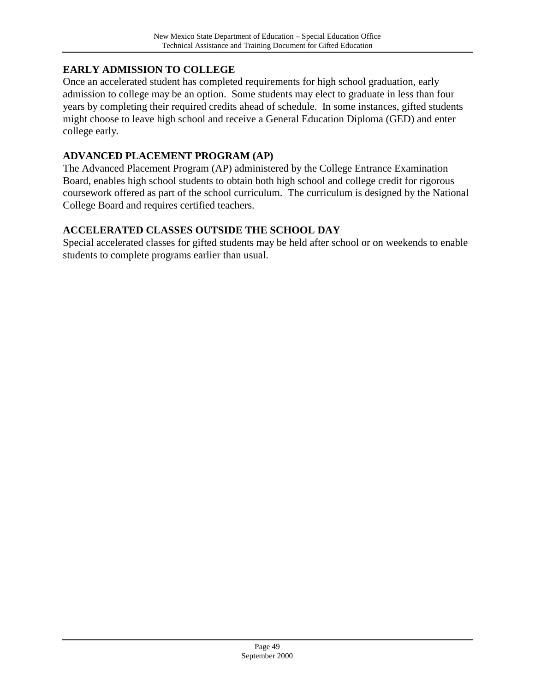#### **EARLY ADMISSION TO COLLEGE**

Once an accelerated student has completed requirements for high school graduation, early admission to college may be an option. Some students may elect to graduate in less than four years by completing their required credits ahead of schedule. In some instances, gifted students might choose to leave high school and receive a General Education Diploma (GED) and enter college early.

#### **ADVANCED PLACEMENT PROGRAM (AP)**

The Advanced Placement Program (AP) administered by the College Entrance Examination Board, enables high school students to obtain both high school and college credit for rigorous coursework offered as part of the school curriculum. The curriculum is designed by the National College Board and requires certified teachers.

#### **ACCELERATED CLASSES OUTSIDE THE SCHOOL DAY**

Special accelerated classes for gifted students may be held after school or on weekends to enable students to complete programs earlier than usual.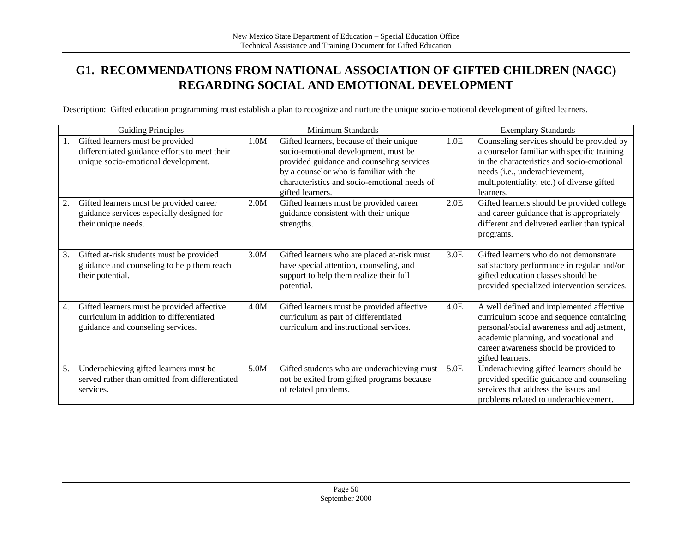## **G1. RECOMMENDATIONS FROM NATIONAL ASSOCIATION OF GIFTED CHILDREN (NAGC) REGARDING SOCIAL AND EMOTIONAL DEVELOPMENT**

Description: Gifted education programming must establish a plan to recognize and nurture the unique socio-emotional development of gifted learners.

|    | <b>Guiding Principles</b>                                                                                                   |      | Minimum Standards                                                                                                                                                                                                                            | <b>Exemplary Standards</b> |                                                                                                                                                                                                                                          |
|----|-----------------------------------------------------------------------------------------------------------------------------|------|----------------------------------------------------------------------------------------------------------------------------------------------------------------------------------------------------------------------------------------------|----------------------------|------------------------------------------------------------------------------------------------------------------------------------------------------------------------------------------------------------------------------------------|
| 1. | Gifted learners must be provided<br>differentiated guidance efforts to meet their<br>unique socio-emotional development.    | 1.0M | Gifted learners, because of their unique<br>socio-emotional development, must be<br>provided guidance and counseling services<br>by a counselor who is familiar with the<br>characteristics and socio-emotional needs of<br>gifted learners. | 1.0E                       | Counseling services should be provided by<br>a counselor familiar with specific training<br>in the characteristics and socio-emotional<br>needs (i.e., underachievement,<br>multipotentiality, etc.) of diverse gifted<br>learners.      |
| 2. | Gifted learners must be provided career<br>guidance services especially designed for<br>their unique needs.                 | 2.0M | Gifted learners must be provided career<br>guidance consistent with their unique<br>strengths.                                                                                                                                               | 2.0E                       | Gifted learners should be provided college<br>and career guidance that is appropriately<br>different and delivered earlier than typical<br>programs.                                                                                     |
| 3. | Gifted at-risk students must be provided<br>guidance and counseling to help them reach<br>their potential.                  | 3.0M | Gifted learners who are placed at-risk must<br>have special attention, counseling, and<br>support to help them realize their full<br>potential.                                                                                              | 3.0E                       | Gifted learners who do not demonstrate<br>satisfactory performance in regular and/or<br>gifted education classes should be<br>provided specialized intervention services.                                                                |
| 4. | Gifted learners must be provided affective<br>curriculum in addition to differentiated<br>guidance and counseling services. | 4.0M | Gifted learners must be provided affective<br>curriculum as part of differentiated<br>curriculum and instructional services.                                                                                                                 | 4.0E                       | A well defined and implemented affective<br>curriculum scope and sequence containing<br>personal/social awareness and adjustment,<br>academic planning, and vocational and<br>career awareness should be provided to<br>gifted learners. |
| 5. | Underachieving gifted learners must be<br>served rather than omitted from differentiated<br>services.                       | 5.0M | Gifted students who are underachieving must<br>not be exited from gifted programs because<br>of related problems.                                                                                                                            | 5.0E                       | Underachieving gifted learners should be<br>provided specific guidance and counseling<br>services that address the issues and<br>problems related to underachievement.                                                                   |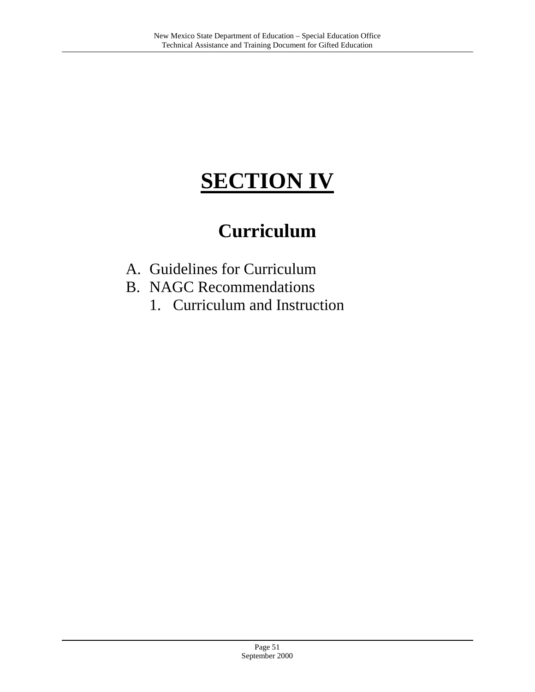## **SECTION IV**

## **Curriculum**

- A. Guidelines for Curriculum
- B. NAGC Recommendations
	- 1. Curriculum and Instruction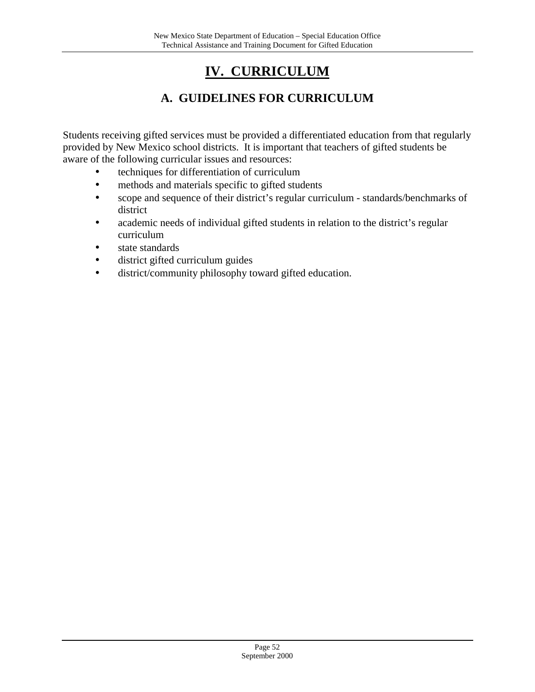## **IV. CURRICULUM**

## **A. GUIDELINES FOR CURRICULUM**

Students receiving gifted services must be provided a differentiated education from that regularly provided by New Mexico school districts. It is important that teachers of gifted students be aware of the following curricular issues and resources:

- techniques for differentiation of curriculum
- methods and materials specific to gifted students
- scope and sequence of their district's regular curriculum standards/benchmarks of district
- academic needs of individual gifted students in relation to the district's regular curriculum
- state standards
- district gifted curriculum guides
- district/community philosophy toward gifted education.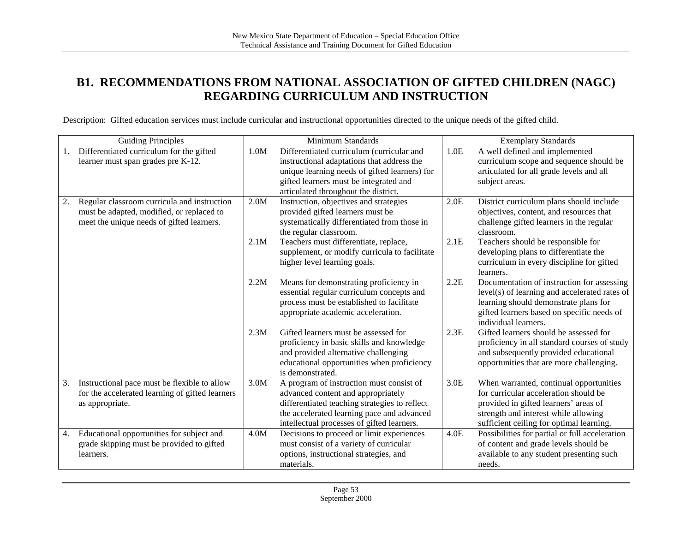## **B1. RECOMMENDATIONS FROM NATIONAL ASSOCIATION OF GIFTED CHILDREN (NAGC) REGARDING CURRICULUM AND INSTRUCTION**

Description: Gifted education services must include curricular and instructional opportunities directed to the unique needs of the gifted child.

| <b>Guiding Principles</b>                          |      | Minimum Standards                             |      | <b>Exemplary Standards</b>                                         |
|----------------------------------------------------|------|-----------------------------------------------|------|--------------------------------------------------------------------|
| Differentiated curriculum for the gifted<br>1.     | 1.0M | Differentiated curriculum (curricular and     | 1.0E | A well defined and implemented                                     |
| learner must span grades pre K-12.                 |      | instructional adaptations that address the    |      | curriculum scope and sequence should be                            |
|                                                    |      | unique learning needs of gifted learners) for |      | articulated for all grade levels and all                           |
|                                                    |      | gifted learners must be integrated and        |      | subject areas.                                                     |
|                                                    |      | articulated throughout the district.          |      |                                                                    |
| Regular classroom curricula and instruction<br>2.  | 2.0M | Instruction, objectives and strategies        | 2.0E | District curriculum plans should include                           |
| must be adapted, modified, or replaced to          |      | provided gifted learners must be              |      | objectives, content, and resources that                            |
| meet the unique needs of gifted learners.          |      | systematically differentiated from those in   |      | challenge gifted learners in the regular                           |
|                                                    |      | the regular classroom.                        |      | classroom.                                                         |
|                                                    | 2.1M | Teachers must differentiate, replace,         | 2.1E | Teachers should be responsible for                                 |
|                                                    |      | supplement, or modify curricula to facilitate |      | developing plans to differentiate the                              |
|                                                    |      | higher level learning goals.                  |      | curriculum in every discipline for gifted                          |
|                                                    |      |                                               |      | learners.                                                          |
|                                                    | 2.2M | Means for demonstrating proficiency in        | 2.2E | Documentation of instruction for assessing                         |
|                                                    |      | essential regular curriculum concepts and     |      | level(s) of learning and accelerated rates of                      |
|                                                    |      | process must be established to facilitate     |      | learning should demonstrate plans for                              |
|                                                    |      | appropriate academic acceleration.            |      | gifted learners based on specific needs of<br>individual learners. |
|                                                    | 2.3M | Gifted learners must be assessed for          | 2.3E | Gifted learners should be assessed for                             |
|                                                    |      | proficiency in basic skills and knowledge     |      | proficiency in all standard courses of study                       |
|                                                    |      | and provided alternative challenging          |      | and subsequently provided educational                              |
|                                                    |      | educational opportunities when proficiency    |      | opportunities that are more challenging.                           |
|                                                    |      | is demonstrated.                              |      |                                                                    |
| Instructional pace must be flexible to allow<br>3. | 3.0M | A program of instruction must consist of      | 3.0E | When warranted, continual opportunities                            |
| for the accelerated learning of gifted learners    |      | advanced content and appropriately            |      | for curricular acceleration should be                              |
| as appropriate.                                    |      | differentiated teaching strategies to reflect |      | provided in gifted learners' areas of                              |
|                                                    |      | the accelerated learning pace and advanced    |      | strength and interest while allowing                               |
|                                                    |      | intellectual processes of gifted learners.    |      | sufficient ceiling for optimal learning.                           |
| Educational opportunities for subject and<br>4.    | 4.0M | Decisions to proceed or limit experiences     | 4.0E | Possibilities for partial or full acceleration                     |
| grade skipping must be provided to gifted          |      | must consist of a variety of curricular       |      | of content and grade levels should be                              |
| learners.                                          |      | options, instructional strategies, and        |      | available to any student presenting such                           |
|                                                    |      | materials.                                    |      | needs.                                                             |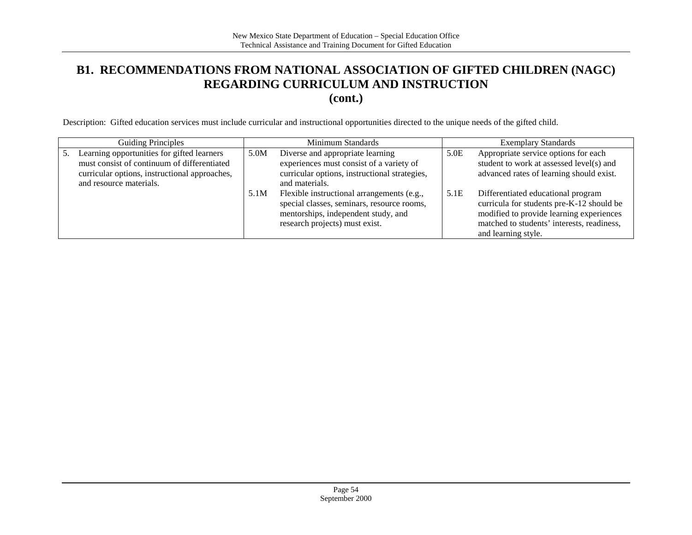#### **B1. RECOMMENDATIONS FROM NATIONAL ASSOCIATION OF GIFTED CHILDREN (NAGC) REGARDING CURRICULUM AND INSTRUCTION (cont.)**

Description: Gifted education services must include curricular and instructional opportunities directed to the unique needs of the gifted child.

|    | <b>Guiding Principles</b>                                                                                                                                             |      | Minimum Standards                                                                                                                                                 |      | <b>Exemplary Standards</b>                                                                                                                                                                       |
|----|-----------------------------------------------------------------------------------------------------------------------------------------------------------------------|------|-------------------------------------------------------------------------------------------------------------------------------------------------------------------|------|--------------------------------------------------------------------------------------------------------------------------------------------------------------------------------------------------|
| 5. | Learning opportunities for gifted learners<br>must consist of continuum of differentiated<br>curricular options, instructional approaches,<br>and resource materials. | 5.0M | Diverse and appropriate learning<br>experiences must consist of a variety of<br>curricular options, instructional strategies,<br>and materials.                   | 5.0E | Appropriate service options for each<br>student to work at assessed level(s) and<br>advanced rates of learning should exist.                                                                     |
|    |                                                                                                                                                                       | 5.1M | Flexible instructional arrangements (e.g.,<br>special classes, seminars, resource rooms,<br>mentorships, independent study, and<br>research projects) must exist. | 5.1E | Differentiated educational program<br>curricula for students pre-K-12 should be<br>modified to provide learning experiences<br>matched to students' interests, readiness,<br>and learning style. |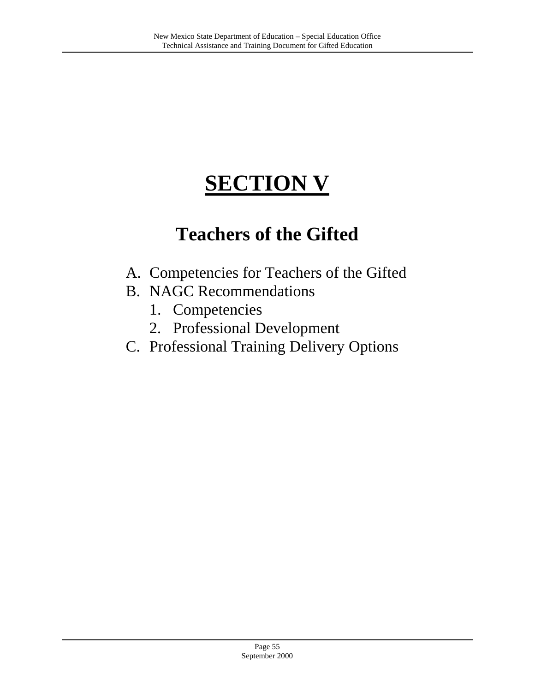# **SECTION V**

## **Teachers of the Gifted**

- A. Competencies for Teachers of the Gifted
- B. NAGC Recommendations
	- 1. Competencies
	- 2. Professional Development
- C. Professional Training Delivery Options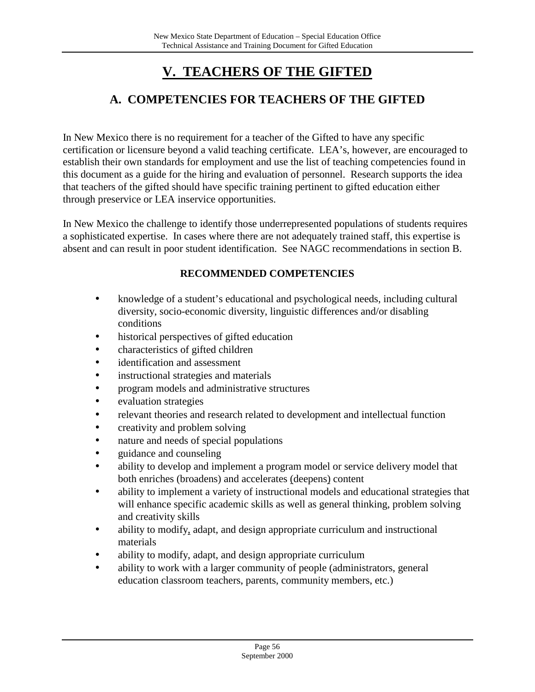## **V. TEACHERS OF THE GIFTED**

## **A. COMPETENCIES FOR TEACHERS OF THE GIFTED**

In New Mexico there is no requirement for a teacher of the Gifted to have any specific certification or licensure beyond a valid teaching certificate. LEA's, however, are encouraged to establish their own standards for employment and use the list of teaching competencies found in this document as a guide for the hiring and evaluation of personnel. Research supports the idea that teachers of the gifted should have specific training pertinent to gifted education either through preservice or LEA inservice opportunities.

In New Mexico the challenge to identify those underrepresented populations of students requires a sophisticated expertise. In cases where there are not adequately trained staff, this expertise is absent and can result in poor student identification. See NAGC recommendations in section B.

#### **RECOMMENDED COMPETENCIES**

- knowledge of a student's educational and psychological needs, including cultural diversity, socio-economic diversity, linguistic differences and/or disabling conditions
- historical perspectives of gifted education
- characteristics of gifted children
- identification and assessment
- instructional strategies and materials
- program models and administrative structures
- evaluation strategies
- relevant theories and research related to development and intellectual function
- creativity and problem solving
- nature and needs of special populations
- guidance and counseling
- ability to develop and implement a program model or service delivery model that both enriches (broadens) and accelerates (deepens) content
- ability to implement a variety of instructional models and educational strategies that will enhance specific academic skills as well as general thinking, problem solving and creativity skills
- ability to modify, adapt, and design appropriate curriculum and instructional materials
- ability to modify, adapt, and design appropriate curriculum
- ability to work with a larger community of people (administrators, general education classroom teachers, parents, community members, etc.)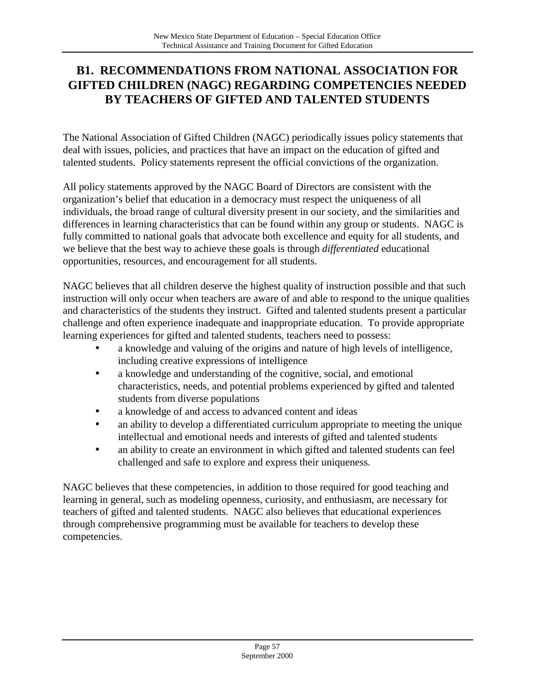## **B1. RECOMMENDATIONS FROM NATIONAL ASSOCIATION FOR GIFTED CHILDREN (NAGC) REGARDING COMPETENCIES NEEDED BY TEACHERS OF GIFTED AND TALENTED STUDENTS**

The National Association of Gifted Children (NAGC) periodically issues policy statements that deal with issues, policies, and practices that have an impact on the education of gifted and talented students. Policy statements represent the official convictions of the organization.

All policy statements approved by the NAGC Board of Directors are consistent with the organization's belief that education in a democracy must respect the uniqueness of all individuals, the broad range of cultural diversity present in our society, and the similarities and differences in learning characteristics that can be found within any group or students. NAGC is fully committed to national goals that advocate both excellence and equity for all students, and we believe that the best way to achieve these goals is through *differentiated* educational opportunities, resources, and encouragement for all students.

NAGC believes that all children deserve the highest quality of instruction possible and that such instruction will only occur when teachers are aware of and able to respond to the unique qualities and characteristics of the students they instruct. Gifted and talented students present a particular challenge and often experience inadequate and inappropriate education. To provide appropriate learning experiences for gifted and talented students, teachers need to possess:

- a knowledge and valuing of the origins and nature of high levels of intelligence, including creative expressions of intelligence
- a knowledge and understanding of the cognitive, social, and emotional characteristics, needs, and potential problems experienced by gifted and talented students from diverse populations
- a knowledge of and access to advanced content and ideas
- an ability to develop a differentiated curriculum appropriate to meeting the unique intellectual and emotional needs and interests of gifted and talented students
- an ability to create an environment in which gifted and talented students can feel challenged and safe to explore and express their uniqueness.

NAGC believes that these competencies, in addition to those required for good teaching and learning in general, such as modeling openness, curiosity, and enthusiasm, are necessary for teachers of gifted and talented students. NAGC also believes that educational experiences through comprehensive programming must be available for teachers to develop these competencies.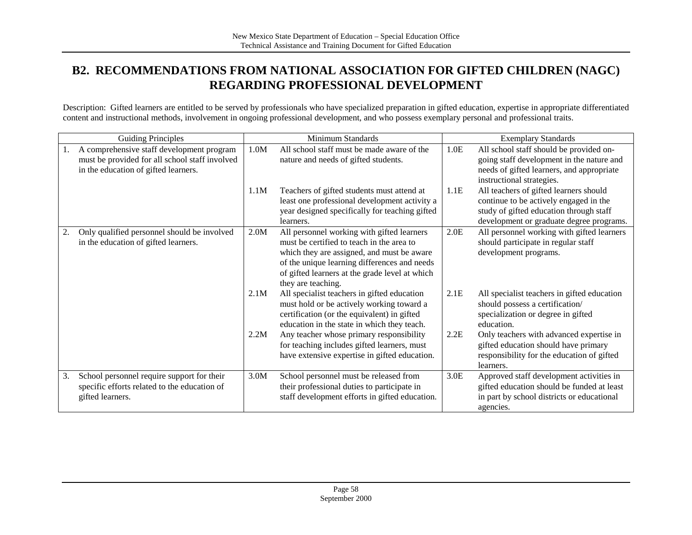## **B2. RECOMMENDATIONS FROM NATIONAL ASSOCIATION FOR GIFTED CHILDREN (NAGC) REGARDING PROFESSIONAL DEVELOPMENT**

Description: Gifted learners are entitled to be served by professionals who have specialized preparation in gifted education, expertise in appropriate differentiated content and instructional methods, involvement in ongoing professional development, and who possess exemplary personal and professional traits.

|    | <b>Guiding Principles</b>                                                                                                           |      | Minimum Standards                                                                                                                                                                                                                                             |      | <b>Exemplary Standards</b>                                                                                                                                              |
|----|-------------------------------------------------------------------------------------------------------------------------------------|------|---------------------------------------------------------------------------------------------------------------------------------------------------------------------------------------------------------------------------------------------------------------|------|-------------------------------------------------------------------------------------------------------------------------------------------------------------------------|
| 1. | A comprehensive staff development program<br>must be provided for all school staff involved<br>in the education of gifted learners. | 1.0M | All school staff must be made aware of the<br>nature and needs of gifted students.                                                                                                                                                                            | 1.0E | All school staff should be provided on-<br>going staff development in the nature and<br>needs of gifted learners, and appropriate<br>instructional strategies.          |
|    |                                                                                                                                     | 1.1M | Teachers of gifted students must attend at<br>least one professional development activity a<br>year designed specifically for teaching gifted<br>learners.                                                                                                    | 1.1E | All teachers of gifted learners should<br>continue to be actively engaged in the<br>study of gifted education through staff<br>development or graduate degree programs. |
| 2. | Only qualified personnel should be involved<br>in the education of gifted learners.                                                 | 2.0M | All personnel working with gifted learners<br>must be certified to teach in the area to<br>which they are assigned, and must be aware<br>of the unique learning differences and needs<br>of gifted learners at the grade level at which<br>they are teaching. | 2.0E | All personnel working with gifted learners<br>should participate in regular staff<br>development programs.                                                              |
|    |                                                                                                                                     | 2.1M | All specialist teachers in gifted education<br>must hold or be actively working toward a<br>certification (or the equivalent) in gifted<br>education in the state in which they teach.                                                                        | 2.1E | All specialist teachers in gifted education<br>should possess a certification/<br>specialization or degree in gifted<br>education.                                      |
|    |                                                                                                                                     | 2.2M | Any teacher whose primary responsibility<br>for teaching includes gifted learners, must<br>have extensive expertise in gifted education.                                                                                                                      | 2.2E | Only teachers with advanced expertise in<br>gifted education should have primary<br>responsibility for the education of gifted<br>learners.                             |
| 3. | School personnel require support for their<br>specific efforts related to the education of<br>gifted learners.                      | 3.0M | School personnel must be released from<br>their professional duties to participate in<br>staff development efforts in gifted education.                                                                                                                       | 3.0E | Approved staff development activities in<br>gifted education should be funded at least<br>in part by school districts or educational<br>agencies.                       |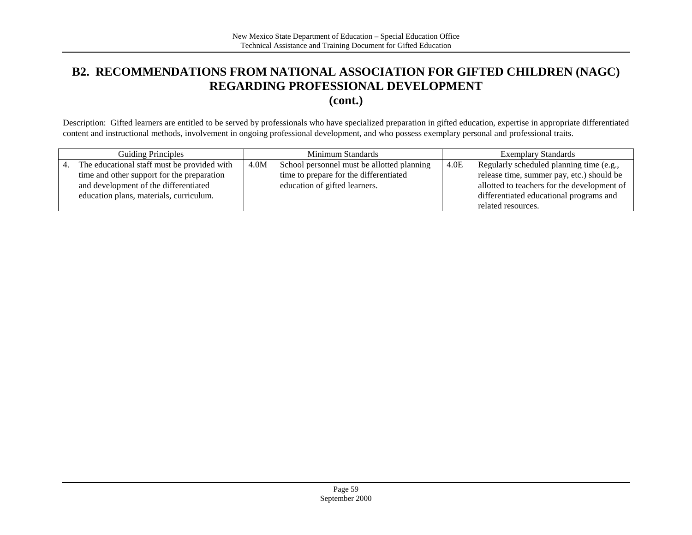## **B2. RECOMMENDATIONS FROM NATIONAL ASSOCIATION FOR GIFTED CHILDREN (NAGC) REGARDING PROFESSIONAL DEVELOPMENT**

**(cont.)**

Description: Gifted learners are entitled to be served by professionals who have specialized preparation in gifted education, expertise in appropriate differentiated content and instructional methods, involvement in ongoing professional development, and who possess exemplary personal and professional traits.

| <b>Guiding Principles</b>                   |      | Minimum Standards                          |      | <b>Exemplary Standards</b>                  |
|---------------------------------------------|------|--------------------------------------------|------|---------------------------------------------|
| The educational staff must be provided with | 4.0M | School personnel must be allotted planning | 4.0E | Regularly scheduled planning time (e.g.,    |
| time and other support for the preparation  |      | time to prepare for the differentiated     |      | release time, summer pay, etc.) should be   |
| and development of the differentiated       |      | education of gifted learners.              |      | allotted to teachers for the development of |
| education plans, materials, curriculum.     |      |                                            |      | differentiated educational programs and     |
|                                             |      |                                            |      | related resources.                          |